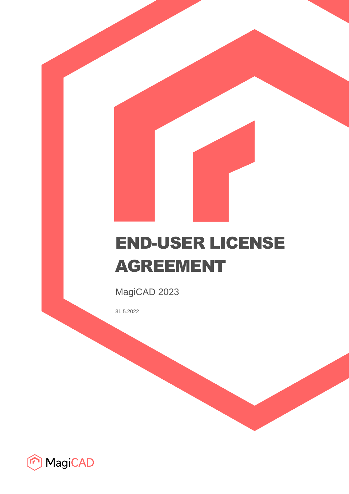# END-USER LICENSE AGREEMENT

MagiCAD 2023

31.5.2022

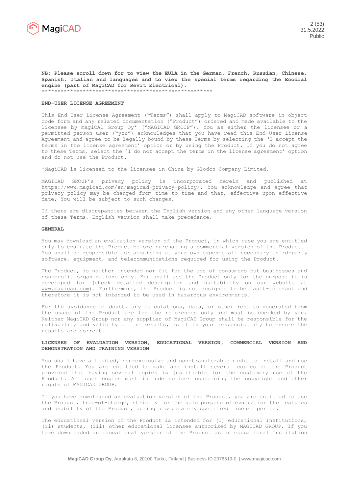

**NB: Please scroll down for to view the EULA in the German, French, Russian, Chinese, Spanish, Italian and languages and to view the special terms regarding the Ecodial engine (part of MagiCAD for Revit Electrical).**  \*\*\*\*\*\*\*\*\*\*\*\*\*\*\*\*\*\*\*\*\*\*\*\*\*\*\*\*\*\*\*\*\*\*\*\*\*\*\*\*\*\*\*\*\*\*\*\*\*\*\*\*\*\*

#### **END-USER LICENSE AGREEMENT**

This End-User License Agreement ("Terms") shall apply to MagiCAD software in object code form and any related documentation ("Product") ordered and made available to the licensee by MagiCAD Group Oy\* ("MAGICAD GROUP"). You as either the licensee or a permitted person user ("you") acknowledges that you have read this End-User License Agreement and agree to be legally bound by these Terms by selecting the 'I accept the terms in the license agreement' option or by using the Product. If you do not agree to these Terms, select the 'I do not accept the terms in the license agreement' option and do not use the Product.

\*MagiCAD is licensed to the licensee in China by Glodon Company Limited.

MAGICAD GROUP's privacy policy is incorporated herein and published at [https://www.magicad.com/en/magicad-privacy-policy/.](https://www.magicad.com/en/magicad-privacy-policy/) You acknowledge and agree that privacy policy may be changed from time to time and that, effective upon effective date, You will be subject to such changes.

If there are discrepancies between the English version and any other language version of these Terms, English version shall take precedence.

#### **GENERAL**

You may download an evaluation version of the Product, in which case you are entitled only to evaluate the Product before purchasing a commercial version of the Product. You shall be responsible for acquiring at your own expense all necessary third-party software, equipment, and telecommunications required for using the Product.

The Product, is neither intended nor fit for the use of consumers but businesses and non-profit organizations only. You shall use the Product only for the purpose it is developed for (check detailed description and suitability on our website at [www.magicad.com\)](http://www.magicad.com/). Furthermore, the Product is not designed to be fault-tolerant and therefore it is not intended to be used in hazardous environments.

For the avoidance of doubt, any calculations, data, or other results generated from the usage of the Product are for the references only and must be checked by you. Neither MagiCAD Group nor any supplier of MagiCAD Group shall be responsible for the reliability and validity of the results, as it is your responsibility to ensure the results are correct.

## **LICENSES OF EVALUATION VERSION, EDUCATIONAL VERSION, COMMERCIAL VERSION AND DEMONSTRATION AND TRAINING VERSION**

You shall have a limited, non-exclusive and non-transferable right to install and use the Product. You are entitled to make and install several copies of the Product provided that having several copies is justifiable for the customary use of the Product. All such copies must include notices concerning the copyright and other rights of MAGICAD GROUP.

If you have downloaded an evaluation version of the Product, you are entitled to use the Product, free-of-charge, strictly for the sole purpose of evaluation the features and usability of the Product, during a separately specified license period.

The educational version of the Product is intended for (i) educational Institutions, (ii) students, (iii) other educational licensee authorised by MAGICAD GROUP. If you have downloaded an educational version of the Product as an educational Institution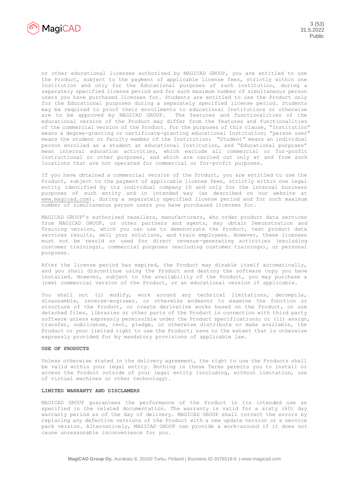

or other educational licensee authorised by MAGICAD GROUP, you are entitled to use the Product, subject to the payment of applicable license fees, strictly within one Institution and only for the Educational purposes of such institution, during a separately specified license period and for such maximum number of simultaneous person users you have purchased licenses for. Students are entitled to use the Product only for the Educational purposes during a separately specified license period. Students may be required to proof their enrollments to educational Institutions or otherwise are to be approved by MAGICAD GROUP. The features and functionalities of the educational version of the Product may differ from the features and functionalities of the commercial version of the Product. For the purposes of this clause, "Institution" means a degree-granting or certificate-granting educational Institution; "person user" means the student or faculty member of the Institution; "Student" means an individual person enrolled as a student at educational Institution, and "Educational purposes" mean internal education activities, which exclude all commercial or for-profit instructional or other purposes, and which are carried out only at and from such locations that are not operated for commercial or for-profit purposes.

If you have obtained a commercial version of the Product, you are entitled to use the Product, subject to the payment of applicable license fees, strictly within one legal entity identified by its individual company ID and only for the internal business purposes of such entity and in intended way (as described on our website at [www.magicad.com\)](http://www.magicad.com/), during a separately specified license period and for such maximum number of simultaneous person users you have purchased licenses for.

MAGICAD GROUP's authorised resellers, manufacturers, who order product data services from MAGICAD GROUP, or other partners and agents, may obtain Demonstration and Training version, which you can use to demonstrate the Product, test product data services results, sell your solutions, and train employees. However, these licenses must not be resold or used for direct revenue-generating activities (excluding customer trainings), commercial purposes (excluding customer trainings), or personal purposes.

After the license period has expired, the Product may disable itself automatically, and you shall discontinue using the Product and destroy the software copy you have installed. However, subject to the availability of the Product, you may purchase a (new) commercial version of the Product, or an educational version if applicable.

You shall not (i) modify, work around any technical limitations, decompile, disassemble, reverse-engineer, or otherwise endeavor to examine the function or structure of the Product, or create derivative works based on the Product, or use detached files, libraries or other parts of the Product in connection with third party software unless expressly permissible under the Product specifications; or (ii) assign, transfer, sublicense, rent, pledge, or otherwise distribute or make available, the Product or your limited right to use the Product; save to the extent that is otherwise expressly provided for by mandatory provisions of applicable law.

#### **USE OF PRODUCTS**

Unless otherwise stated in the delivery agreement, the right to use the Products shall be valid within your legal entity. Nothing in these Terms permits you to install or access the Product outside of your legal entity (including, without limitation, use of virtual machines or other technology).

# **LIMITED WARRANTY AND DISCLAMERS**

MAGICAD GROUP guarantees the performance of the Product in its intended use as specified in the related documentation. The warranty is valid for a sixty (60) day warranty period as of the day of delivery. MAGICAD GROUP shall correct the errors by replacing any defective versions of the Product with a new update version or a service pack version. Alternatively, MAGICAD GROUP can provide a work-around if it does not cause unreasonable inconvenience for you.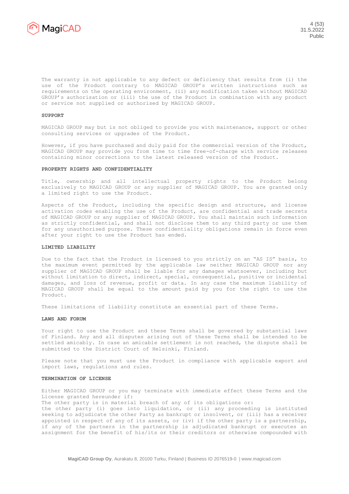

The warranty is not applicable to any defect or deficiency that results from (i) the use of the Product contrary to MAGICAD GROUP's written instructions such as requirements on the operating environment, (ii) any modification taken without MAGICAD GROUP's authorisation or (iii) the use of the Product in combination with any product or service not supplied or authorised by MAGICAD GROUP.

#### **SUPPORT**

MAGICAD GROUP may but is not obliged to provide you with maintenance, support or other consulting services or upgrades of the Product.

However, if you have purchased and duly paid for the commercial version of the Product, MAGICAD GROUP may provide you from time to time free-of-charge with service releases containing minor corrections to the latest released version of the Product.

#### **PROPERTY RIGHTS AND CONFIDENTIALITY**

Title, ownership and all intellectual property rights to the Product belong exclusively to MAGICAD GROUP or any supplier of MAGICAD GROUP. You are granted only a limited right to use the Product.

Aspects of the Product, including the specific design and structure, and license activation codes enabling the use of the Product, are confidential and trade secrets of MAGICAD GROUP or any supplier of MAGICAD GROUP. You shall maintain such information as strictly confidential, and shall not disclose them to any third party or use them for any unauthorised purpose. These confidentiality obligations remain in force even after your right to use the Product has ended.

## **LIMITED LIABILITY**

Due to the fact that the Product is licensed to you strictly on an "AS IS" basis, to the maximum event permitted by the applicable law neither MAGICAD GROUP nor any supplier of MAGICAD GROUP shall be liable for any damages whatsoever, including but without limitation to direct, indirect, special, consequential, punitive or incidental damages, and loss of revenue, profit or data. In any case the maximum liability of MAGICAD GROUP shall be equal to the amount paid by you for the right to use the Product.

These limitations of liability constitute an essential part of these Terms.

## **LAWS AND FORUM**

Your right to use the Product and these Terms shall be governed by substantial laws of Finland. Any and all disputes arising out of these Terms shall be intended to be settled amicably. In case an amicable settlement is not reached, the dispute shall be submitted to the District Court of Helsinki, Finland.

Please note that you must use the Product in compliance with applicable export and import laws, regulations and rules.

#### **TERMINATION OF LICENSE**

Either MAGICAD GROUP or you may terminate with immediate effect these Terms and the License granted hereunder if:

The other party is in material breach of any of its obligations or: the other party (i) goes into liquidation, or (ii) any proceeding is instituted seeking to adjudicate the other Party as bankrupt or insolvent, or (iii) has a receiver appointed in respect of any of its assets, or (iv) if the other party is a partnership, if any of the partners in the partnership is adjudicated bankrupt or executes an assignment for the benefit of his/its or their creditors or otherwise compounded with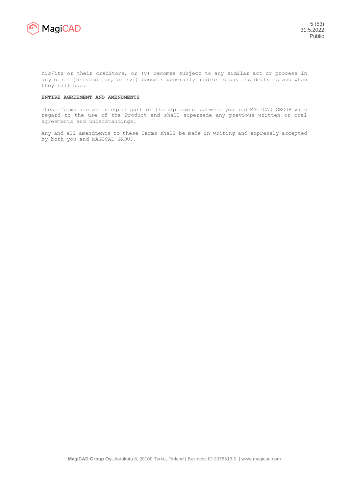

his/its or their creditors, or (v) becomes subject to any similar act or process in any other jurisdiction, or (vi) becomes generally unable to pay its debts as and when they fall due.

## **ENTIRE AGREEMENT AND AMENDMENTS**

These Terms are an integral part of the agreement between you and MAGICAD GROUP with regard to the use of the Product and shall supersede any previous written or oral agreements and understandings.

Any and all amendments to these Terms shall be made in writing and expressly accepted by both you and MAGICAD GROUP.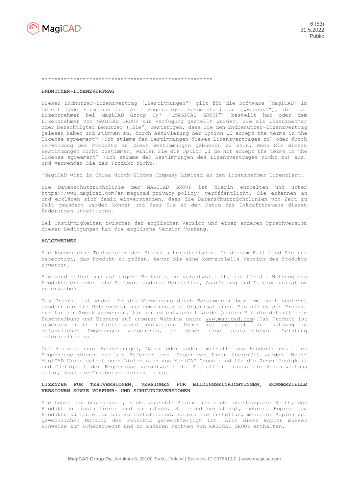

#### \*\*\*\*\*\*\*\*\*\*\*\*\*\*\*\*\*\*\*\*\*\*\*\*\*\*\*\*\*\*\*\*\*\*\*\*\*\*\*\*\*\*\*\*\*\*\*\*\*\*\*\*\*\*

#### **ENDNUTZER-LIZENZVERTRAG**

Dieser Endnutzer-Lizenzvertrag ("Bestimmungen") gilt für die Software [MagiCAD] in Object Code Form und für alle zugehörigen Dokumentationen ("Produkt"), die der Lizenznehmer bei MagiCAD Group Oy\* ("MAGICAD GROUP") bestellt hat oder dem Lizenznehmer von MAGICAD GROUP zur Verfügung gestellt wurden. Sie als Lizenznehmer oder berechtigter Benutzer ("Sie") bestätigen, dass Sie den Endbenutzer-Lizenzvertrag gelesen haben und stimmen zu, durch Aktivierung der Option "I accept the terms in the license agreement" (Ich stimme den Bestimmungen dieses Lizenzvertrages zu) oder durch Verwendung des Produkts an diese Bestimmungen gebunden zu sein. Wenn Sie diesen Bestimmungen nicht zustimmen, wählen Sie die Option "I do not accept the terms in the license agreement" (Ich stimme den Bestimmungen des Lizenzvertrages nicht zu) aus, und verwenden Sie das Produkt nicht.

\*MagiCAD wird in China durch Glodon Company Limited an den Lizenznehmer lizenziert.

Die Datenschutzrichtlinie der MAGICAD GROUP ist hierin enthalten und unter <https://www.magicad.com/en/magicad-privacy-policy/> veröffentlicht. Sie erkennen an und erklären sich damit einverstanden, dass die Datenschutzrichtlinien von Zeit zu Zeit geändert werden können und dass Sie ab dem Datum des Inkrafttretens diesen Änderungen unterliegen.

Bei Unstimmigkeiten zwischen der englischen Version und einer anderen Sprachversion dieser Bedingungen hat die englische Version Vorrang.

# **ALLGEMEINES**

Sie können eine Testversion des Produkts herunterladen. In diesem Fall sind Sie nur berechtigt, das Produkt zu prüfen, bevor Sie eine kommerzielle Version des Produkts erwerben.

Sie sind selbst und auf eigene Kosten dafür verantwortlich, die für die Nutzung des Produkts erforderliche Software anderer Hersteller, Ausrüstung und Telekommunikation zu erwerben.

Das Produkt ist weder für die Verwendung durch Konsumenten bestimmt noch geeignet sondern nur für Unternehmen und gemeinnützige Organisationen. Sie dürfen das Produkt nur für den Zweck verwenden, für den es entwickelt wurde (prüfen Sie die detaillierte Beschreibung und Eignung auf unserer Website unter [www.magicad.com\)](http://www.magicad.com/de).Das Produkt ist außerdem nicht fehlertolerant entworfen. Daher ist es nicht zur Nutzung in gefährlichen Umgebungen vorgesehen, in denen eine ausfallsichere Leistung erforderlich ist.

Zur Klarstellung: Berechnungen, Daten oder andere mithilfe des Produkts erzielten Ergebnisse dienen nur als Referenz und müssen von Ihnen überprüft werden. Weder MagiCAD Group selbst noch Lieferanten von MagiCAD Group sind für die Zuverlässigkeit und Gültigkeit der Ergebnisse verantwortlich. Sie allein tragen die Verantwortung dafür, dass die Ergebnisse korrekt sind.

## **LIZENZEN FÜR TESTVERSIONEN, VERSIONEN FÜR BILDUNGSEINRICHTUNGEN, KOMMERZIELLE VERSIONEN SOWIE VORFÜHR- UND SCHULUNGSVERSIONEN**

Sie haben das beschränkte, nicht ausschließliche und nicht übertragbare Recht, das Produkt zu installieren und zu nutzen. Sie sind berechtigt, mehrere Kopien des Produkts zu erstellen und zu installieren, sofern die Erstellung mehrerer Kopien zur gewöhnlichen Nutzung des Produkts gerechtfertigt ist. Alle diese Kopien müssen Hinweise zum Urheberrecht und zu anderen Rechten von MAGICAD GROUP enthalten.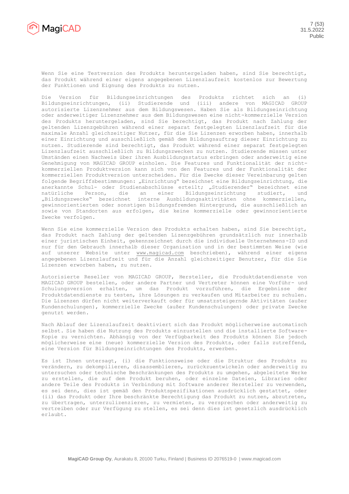

Wenn Sie eine Testversion des Produkts heruntergeladen haben, sind Sie berechtigt, das Produkt während einer eigens angegebenen Lizenzlaufzeit kostenlos zur Bewertung der Funktionen und Eignung des Produkts zu nutzen.

Die Version für Bildungseinrichtungen des Produkts richtet sich an (i) Bildungseinrichtungen, (ii) Studierende und (iii) andere von MAGICAD GROUP autorisierte Lizenznehmer aus dem Bildungswesen. Haben Sie als Bildungseinrichtung oder anderweitiger Lizenznehmer aus dem Bildungswesen eine nicht-kommerzielle Version des Produkts heruntergeladen, sind Sie berechtigt, das Produkt nach Zahlung der geltenden Lizenzgebühren während einer separat festgelegten Lizenzlaufzeit für die maximale Anzahl gleichzeitiger Nutzer, für die Sie Lizenzen erworben haben, innerhalb einer Einrichtung und ausschließlich gemäß dem Bildungsauftrag dieser Einrichtung zu nutzen. Studierende sind berechtigt, das Produkt während einer separat festgelegten Lizenzlaufzeit ausschließlich zu Bildungszwecken zu nutzen. Studierende müssen unter Umständen einen Nachweis über ihren Ausbildungsstatus erbringen oder anderweitig eine Genehmigung von MAGICAD GROUP einholen. Die Features und Funktionalität der nichtkommerziellen Produktversion kann sich von den Features und der Funktionalität der kommerziellen Produktversion unterscheiden. Für die Zwecke dieser Vereinbarung gelten folgende Begriffsbestimmungen: "Einrichtung" bezeichnet eine Bildungseinrichtung, die anerkannte Schul- oder Studienabschlüsse erteilt; "Studierender" bezeichnet eine natürliche Person, die an einer Bildungseinrichtung studiert, und "Bildungszwecke" bezeichnet interne Ausbildungsaktivitäten ohne kommerziellen, gewinnorientierten oder sonstigen bildungsfremden Hintergrund, die ausschließlich an sowie von Standorten aus erfolgen, die keine kommerzielle oder gewinnorientierte Zwecke verfolgen.

Wenn Sie eine kommerzielle Version des Produkts erhalten haben, sind Sie berechtigt, das Produkt nach Zahlung der geltenden Lizenzgebühren grundsätzlich nur innerhalb einer juristischen Einheit, gekennzeichnet durch die individuelle Unternehmens-ID und nur für den Gebrauch innerhalb dieser Organisation und in der bestimmten Weise (wie auf unserer Website unter [www.magicad.com](http://www.magicad.com/de) beschrieben), während einer eigens angegebenen Lizenzlaufzeit und für die Anzahl gleichzeitiger Benutzer, für die Sie Lizenzen erworben haben, zu nutzen.

Autorisierte Reseller von MAGICAD GROUP, Hersteller, die Produktdatendienste von MAGICAD GROUP bestellen, oder andere Partner und Vertreter können eine Vorführ- und Schulungsversion erhalten, um das Produkt vorzuführen, die Ergebnisse der Produktdatendienste zu testen, ihre Lösungen zu verkaufen und Mitarbeiter zu schulen. Die Lizenzen dürfen nicht weiterverkauft oder für umsatzsteigernde Aktivitäten (außer Kundenschulungen), kommerzielle Zwecke (außer Kundenschulungen) oder private Zwecke genutzt werden.

Nach Ablauf der Lizenzlaufzeit deaktiviert sich das Produkt möglicherweise automatisch selbst. Sie haben die Nutzung des Produkts einzustellen und die installierte Software-Kopie zu vernichten. Abhängig von der Verfügbarkeit des Produkts können Sie jedoch möglicherweise eine (neue) kommerzielle Version des Produkts, oder falls zutreffend, eine Version für Bildungseinrichtungen des Produkts, erwerben.

Es ist Ihnen untersagt, (i) die Funktionsweise oder die Struktur des Produkts zu verändern, zu dekompilieren, disassemblieren, zurückzuentwickeln oder anderweitig zu untersuchen oder technische Beschränkungen des Produkts zu umgehen, abgeleitete Werke zu erstellen, die auf dem Produkt beruhen, oder einzelne Dateien, Libraries oder andere Teile des Produkts in Verbindung mit Software anderer Hersteller zu verwenden, es sei denn, dies ist gemäß den Produktspezifikationen ausdrücklich gestattet, oder (ii) das Produkt oder Ihre beschränkte Berechtigung das Produkt zu nutzen, abzutreten, zu übertragen, unterzulizenzieren, zu vermieten, zu versprechen oder anderweitig zu vertreiben oder zur Verfügung zu stellen, es sei denn dies ist gesetzlich ausdrücklich erlaubt.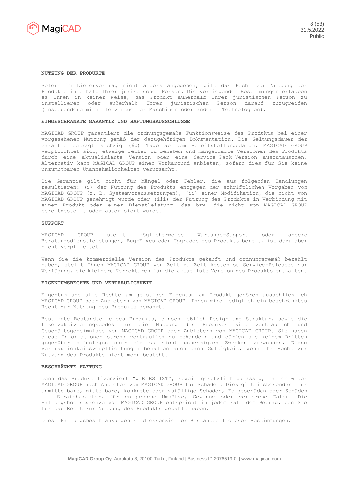

#### **NUTZUNG DER PRODUKTE**

Sofern im Liefervertrag nicht anders angegeben, gilt das Recht zur Nutzung der Produkte innerhalb Ihrer juristischen Person. Die vorliegenden Bestimmungen erlauben es Ihnen in keiner Weise, das Produkt außerhalb Ihrer juristischen Person zu installieren oder außerhalb Ihrer juristischen Person darauf zuzugreifen (insbesondere mithilfe virtueller Maschinen oder anderer Technologien).

#### **EINGESCHRÄNKTE GARANTIE UND HAFTUNGSAUSSCHLÜSSE**

MAGICAD GROUP garantiert die ordnungsgemäße Funktionsweise des Produkts bei einer vorgesehenen Nutzung gemäß der dazugehörigen Dokumentation. Die Geltungsdauer der Garantie beträgt sechzig (60) Tage ab dem Bereitstellungsdatum. MAGICAD GROUP verpflichtet sich, etwaige Fehler zu beheben und mangelhafte Versionen des Produkts durch eine aktualisierte Version oder eine Service-Pack-Version auszutauschen. Alternativ kann MAGICAD GROUP einen Workaround anbieten, sofern dies für Sie keine unzumutbaren Unannehmlichkeiten verursacht.

Die Garantie gilt nicht für Mängel oder Fehler, die aus folgenden Handlungen resultieren: (i) der Nutzung des Produkts entgegen der schriftlichen Vorgaben von MAGICAD GROUP (z. B. Systemvoraussetzungen), (ii) einer Modifikation, die nicht von MAGICAD GROUP genehmigt wurde oder (iii) der Nutzung des Produkts in Verbindung mit einem Produkt oder einer Dienstleistung, das bzw. die nicht von MAGICAD GROUP bereitgestellt oder autorisiert wurde.

#### **SUPPORT**

MAGICAD GROUP stellt möglicherweise Wartungs-Support oder andere Beratungsdienstleistungen, Bug-Fixes oder Upgrades des Produkts bereit, ist dazu aber nicht verpflichtet.

Wenn Sie die kommerzielle Version des Produkts gekauft und ordnungsgemäß bezahlt haben, stellt Ihnen MAGICAD GROUP von Zeit zu Zeit kostenlos Service-Releases zur Verfügung, die kleinere Korrekturen für die aktuellste Version des Produkts enthalten.

#### **EIGENTUMSRECHTE UND VERTRAULICHKEIT**

Eigentum und alle Rechte am geistigen Eigentum am Produkt gehören ausschließlich MAGICAD GROUP oder Anbietern von MAGICAD GROUP. Ihnen wird lediglich ein beschränktes Recht zur Nutzung des Produkts gewährt.

Bestimmte Bestandteile des Produkts, einschließlich Design und Struktur, sowie die Lizenzaktivierungscodes für die Nutzung des Produkts sind vertraulich und Geschäftsgeheimnisse von MAGICAD GROUP oder Anbietern von MAGICAD GROUP. Sie haben diese Informationen streng vertraulich zu behandeln und dürfen sie keinem Dritten gegenüber offenlegen oder sie zu nicht genehmigten Zwecken verwenden. Diese Vertraulichkeitsverpflichtungen behalten auch dann Gültigkeit, wenn Ihr Recht zur Nutzung des Produkts nicht mehr besteht.

#### **BESCHRÄNKTE HAFTUNG**

Denn das Produkt lizenziert "WIE ES IST", soweit gesetzlich zulässig, haften weder MAGICAD GROUP noch Anbieter von MAGICAD GROUP für Schäden. Dies gilt insbesondere für unmittelbare, mittelbare, konkrete oder zufällige Schäden, Folgeschäden oder Schäden mit Strafcharakter, für entgangene Umsätze, Gewinne oder verlorene Daten. Die Haftungshöchstgrenze von MAGICAD GROUP entspricht in jedem Fall dem Betrag, den Sie für das Recht zur Nutzung des Produkts gezahlt haben.

Diese Haftungsbeschränkungen sind essenzieller Bestandteil dieser Bestimmungen.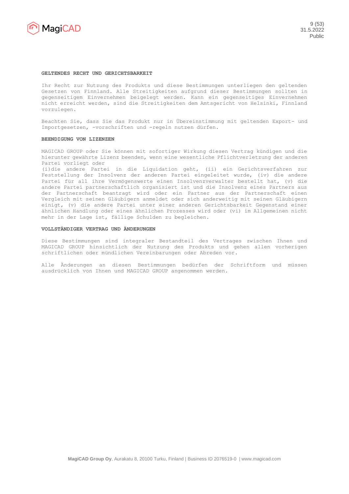

#### **GELTENDES RECHT UND GERICHTSBARKEIT**

Ihr Recht zur Nutzung des Produkts und diese Bestimmungen unterliegen den geltenden Gesetzen von Finnland. Alle Streitigkeiten aufgrund dieser Bestimmungen sollten in gegenseitigem Einvernehmen beigelegt werden. Kann ein gegenseitiges Einvernehmen nicht erreicht werden, sind die Streitigkeiten dem Amtsgericht von Helsinki, Finnland vorzulegen.

Beachten Sie, dass Sie das Produkt nur in Übereinstimmung mit geltenden Export- und Importgesetzen, -vorschriften und -regeln nutzen dürfen.

## **BEENDIGUNG VON LIZENZEN**

MAGICAD GROUP oder Sie können mit sofortiger Wirkung diesen Vertrag kündigen und die hierunter gewährte Lizenz beenden, wenn eine wesentliche Pflichtverletzung der anderen Partei vorliegt oder

(i)die andere Partei in die Liquidation geht, (ii) ein Gerichtsverfahren zur Feststellung der Insolvenz der anderen Partei eingeleitet wurde, (iv) die andere Partei für all ihre Vermögenswerte einen Insolvenzverwalter bestellt hat, (v) die andere Partei partnerschaftlich organisiert ist und die Insolvenz eines Partners aus der Partnerschaft beantragt wird oder ein Partner aus der Partnerschaft einen Vergleich mit seinen Gläubigern anmeldet oder sich anderweitig mit seinen Gläubigern einigt, (v) die andere Partei unter einer anderen Gerichtsbarkeit Gegenstand einer ähnlichen Handlung oder eines ähnlichen Prozesses wird oder (vi) im Allgemeinen nicht mehr in der Lage ist, fällige Schulden zu begleichen.

## **VOLLSTÄNDIGER VERTRAG UND ÄNDERUNGEN**

Diese Bestimmungen sind integraler Bestandteil des Vertrages zwischen Ihnen und MAGICAD GROUP hinsichtlich der Nutzung des Produkts und gehen allen vorherigen schriftlichen oder mündlichen Vereinbarungen oder Abreden vor.

Alle Änderungen an diesen Bestimmungen bedürfen der Schriftform und müssen ausdrücklich von Ihnen und MAGICAD GROUP angenommen werden.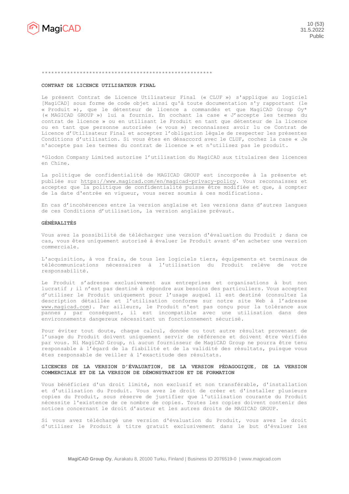

#### \*\*\*\*\*\*\*\*\*\*\*\*\*\*\*\*\*\*\*\*\*\*\*\*\*\*\*\*\*\*\*\*\*\*\*\*\*\*\*\*\*\*\*\*\*\*\*\*\*\*\*\*\*\*

#### **CONTRAT DE LICENCE UTILISATEUR FINAL**

Le présent Contrat de Licence Utilisateur Final (« CLUF ») s'applique au logiciel [MagiCAD] sous forme de code objet ainsi qu'à toute documentation s'y rapportant (le « Produit »), que le détenteur de licence a commandés et que MagiCAD Group Oy\* (« MAGICAD GROUP ») lui a fournis. En cochant la case « J'accepte les termes du contrat de licence » ou en utilisant le Produit en tant que détenteur de la licence ou en tant que personne autorisée (« vous ») reconnaissez avoir lu ce Contrat de Licence d'Utilisateur Final et acceptez l'obligation légale de respecter les présentes Conditions d'utilisation. Si vous êtes en désaccord avec le CLUF, cochez la case « Je n'accepte pas les termes du contrat de licence » et n'utilisez pas le produit.

\*Glodon Company Limited autorise l'utilisation du MagiCAD aux titulaires des licences en Chine.

La politique de confidentialité de MAGICAD GROUP est incorporée à la présente et publiée sur [https://www.magicad.com/en/magicad-privacy-policy.](https://www.magicad.com/en/magicad-privacy-policy) Vous reconnaissez et acceptez que la politique de confidentialité puisse être modifiée et que, à compter de la date d'entrée en vigueur, vous serez soumis à ces modifications.

En cas d'incohérences entre la version anglaise et les versions dans d'autres langues de ces Conditions d'utilisation, la version anglaise prévaut.

## **GÉNÉRALITÉS**

Vous avez la possibilité de télécharger une version d'évaluation du Produit ; dans ce cas, vous êtes uniquement autorisé à évaluer le Produit avant d'en acheter une version commerciale.

L'acquisition, à vos frais, de tous les logiciels tiers, équipements et terminaux de télécommunications nécessaires à l'utilisation du Produit relève de votre responsabilité.

Le Produit s'adresse exclusivement aux entreprises et organisations à but non lucratif ; il n'est pas destiné à répondre aux besoins des particuliers. Vous acceptez d'utiliser le Produit uniquement pour l'usage auquel il est destiné (consultez la description détaillée et l'utilisation conforme sur notre site Web à l'adresse [www.magicad.com\)](http://www.magicad.com/). Par ailleurs, le Produit n'est pas conçu pour la tolérance aux pannes ; par conséquent, il est incompatible avec une utilisation dans des environnements dangereux nécessitant un fonctionnement sécurisé.

Pour éviter tout doute, chaque calcul, donnée ou tout autre résultat provenant de l'usage du Produit doivent uniquement servir de référence et doivent être vérifiés par vous. Ni MagiCAD Group, ni aucun fournisseur de MagiCAD Group ne pourra être tenu responsable à l'égard de la fiabilité et de la validité des résultats, puisque vous êtes responsable de veiller à l'exactitude des résultats.

## **LICENCES DE LA VERSION D'ÉVALUATION, DE LA VERSION PÉDAGOGIQUE, DE LA VERSION COMMERCIALE ET DE LA VERSION DE DÉMONSTRATION ET DE FORMATION**

Vous bénéficiez d'un droit limité, non exclusif et non transférable, d'installation et d'utilisation du Produit. Vous avez le droit de créer et d'installer plusieurs copies du Produit, sous réserve de justifier que l'utilisation courante du Produit nécessite l'existence de ce nombre de copies. Toutes les copies doivent contenir des notices concernant le droit d'auteur et les autres droits de MAGICAD GROUP.

Si vous avez téléchargé une version d'évaluation du Produit, vous avez le droit d'utiliser le Produit à titre gratuit exclusivement dans le but d'évaluer les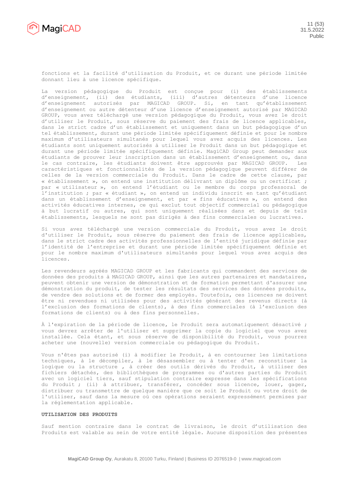

fonctions et la facilité d'utilisation du Produit, et ce durant une période limitée donnant lieu à une licence spécifique.

La version pédagogique du Produit est conçue pour (i) des établissements d'enseignement, (ii) des étudiants, (iii) d'autres détenteurs d'une licence d'enseignement autorisés par MAGICAD GROUP. Si, en tant qu'établissement d'enseignement ou autre détenteur d'une licence d'enseignement autorisé par MAGICAD GROUP, vous avez téléchargé une version pédagogique du Produit, vous avez le droit d'utiliser le Produit, sous réserve du paiement des frais de licence applicables, dans le strict cadre d'un établissement et uniquement dans un but pédagogique d'un tel établissement, durant une période limitée spécifiquement définie et pour le nombre maximum d'utilisateurs simultanés pour lequel vous avez acquis des licences. Les étudiants sont uniquement autorisés à utiliser le Produit dans un but pédagogique et durant une période limitée spécifiquement définie. MagiCAD Group peut demander aux étudiants de prouver leur inscription dans un établissement d'enseignement ou, dans le cas contraire, les étudiants doivent être approuvés par MAGICAD GROUP. Les caractéristiques et fonctionnalités de la version pédagogique peuvent différer de celles de la version commerciale du Produit. Dans le cadre de cette clause, par « établissement », on entend une institution délivrant un diplôme ou un certificat ; par « utilisateur », on entend l'étudiant ou le membre du corps professoral de l'institution ; par « étudiant », on entend un individu inscrit en tant qu'étudiant dans un établissement d'enseignement, et par « fins éducatives », on entend des activités éducatives internes, ce qui exclut tout objectif commercial ou pédagogique à but lucratif ou autres, qui sont uniquement réalisées dans et depuis de tels établissements, lesquels ne sont pas dirigés à des fins commerciales ou lucratives.

Si vous avez téléchargé une version commerciale du Produit, vous avez le droit d'utiliser le Produit, sous réserve du paiement des frais de licence applicables, dans le strict cadre des activités professionnelles de l'entité juridique définie par l'identité de l'entreprise et durant une période limitée spécifiquement définie et pour le nombre maximum d'utilisateurs simultanés pour lequel vous avez acquis des licences.

Les revendeurs agréés MAGICAD GROUP et les fabricants qui commandent des services de données des produits à MAGICAD GROUP, ainsi que les autres partenaires et mandataires, peuvent obtenir une version de démonstration et de formation permettant d'assurer une démonstration du produit, de tester les résultats des services des données produits, de vendre des solutions et de former des employés. Toutefois, ces licences ne doivent être ni revendues ni utilisées pour des activités générant des revenus directs (à l'exclusion des formations de clients), à des fins commerciales (à l'exclusion des formations de clients) ou à des fins personnelles.

À l'expiration de la période de licence, le Produit sera automatiquement désactivé ; vous devrez arrêter de l'utiliser et supprimer la copie du logiciel que vous avez installée. Cela étant, et sous réserve de disponibilité du Produit, vous pourrez acheter une (nouvelle) version commerciale ou pédagogique du Produit.

Vous n'êtes pas autorisé (i) à modifier le Produit, à en contourner les limitations techniques, à le décompiler, à le désassembler ou à tenter d'en reconstituer la logique ou la structure , à créer des outils dérivés du Produit, à utiliser des fichiers détachés, des bibliothèques de programmes ou d'autres parties du Produit avec un logiciel tiers, sauf stipulation contraire expresse dans les spécifications du Produit ; (ii) à attribuer, transférer, concéder sous licence, louer, gager, distribuer ou transmettre de quelque manière que ce soit le Produit ou votre droit de l'utiliser, sauf dans la mesure où ces opérations seraient expressément permises par la réglementation applicable.

# **UTILISATION DES PRODUITS**

Sauf mention contraire dans le contrat de livraison, le droit d'utilisation des Produits est valable au sein de votre entité légale. Aucune disposition des présentes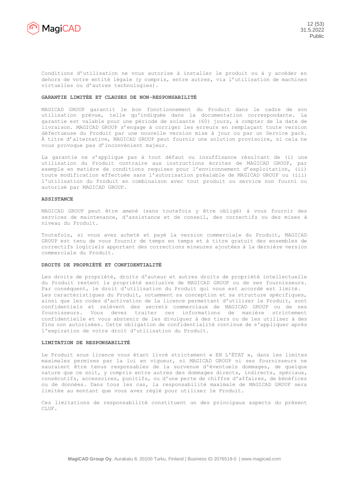

Conditions d'utilisation ne vous autorise à installer le produit ou à y accéder en dehors de votre entité légale (y compris, entre autres, via l'utilisation de machines virtuelles ou d'autres technologies).

## **GARANTIE LIMITÉE ET CLAUSES DE NON-RESPONSABILITÉ**

MAGICAD GROUP garantit le bon fonctionnement du Produit dans le cadre de son utilisation prévue, telle qu'indiquée dans la documentation correspondante. La garantie est valable pour une période de soixante (60) jours, à compter de la date de livraison. MAGICAD GROUP s'engage à corriger les erreurs en remplaçant toute version défectueuse du Produit par une nouvelle version mise à jour ou par un Service pack. À titre d'alternative, MAGICAD GROUP peut fournir une solution provisoire, si cela ne vous provoque pas d'inconvénient majeur.

La garantie ne s'applique pas à tout défaut ou insuffisance résultant de (i) une utilisation du Produit contraire aux instructions écrites de MAGICAD GROUP, par exemple en matière de conditions requises pour l'environnement d'exploitation, (ii) toute modification effectuée sans l'autorisation préalable de MAGICAD GROUP ou (iii) l'utilisation du Produit en combinaison avec tout produit ou service non fourni ou autorisé par MAGICAD GROUP.

#### **ASSISTANCE**

MAGICAD GROUP peut être amené (sans toutefois y être obligé) à vous fournir des services de maintenance, d'assistance et de conseil, des correctifs ou des mises à niveau du Produit.

Toutefois, si vous avez acheté et payé la version commerciale du Produit, MAGICAD GROUP est tenu de vous fournir de temps en temps et à titre gratuit des ensembles de correctifs logiciels apportant des corrections mineures ajoutées à la dernière version commerciale du Produit.

#### **DROITS DE PROPRIÉTÉ ET CONFIDENTIALITÉ**

Les droits de propriété, droits d'auteur et autres droits de propriété intellectuelle du Produit restent la propriété exclusive de MAGICAD GROUP ou de ses fournisseurs. Par conséquent, le droit d'utilisation du Produit qui vous est accordé est limité. Les caractéristiques du Produit, notamment sa conception et sa structure spécifiques, ainsi que les codes d'activation de la licence permettant d'utiliser le Produit, sont confidentiels et relèvent des secrets commerciaux de MAGICAD GROUP ou de ses fournisseurs. Vous devez traiter ces informations de manière strictement confidentielle et vous abstenir de les divulguer à des tiers ou de les utiliser à des fins non autorisées. Cette obligation de confidentialité continue de s'appliquer après l'expiration de votre droit d'utilisation du Produit.

# **LIMITATION DE RESPONSABILITÉ**

Le Produit sous licence vous étant livré strictement « EN L'ÉTAT », dans les limites maximales permises par la loi en vigueur, ni MAGICAD GROUP ni ses fournisseurs ne sauraient être tenus responsables de la survenue d'éventuels dommages, de quelque nature que ce soit, y compris entre autres des dommages directs, indirects, spéciaux, consécutifs, accessoires, punitifs, ou d'une perte de chiffre d'affaires, de bénéfices ou de données. Dans tous les cas, la responsabilité maximale de MAGICAD GROUP sera limitée au montant que vous avez réglé pour utiliser le Produit.

Ces limitations de responsabilité constituent un des principaux aspects du présent CLUF.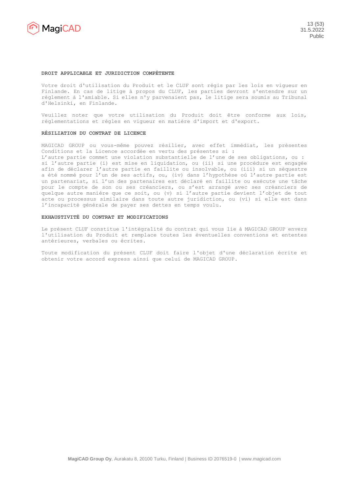

#### **DROIT APPLICABLE ET JURIDICTION COMPÉTENTE**

Votre droit d'utilisation du Produit et le CLUF sont régis par les lois en vigueur en Finlande. En cas de litige à propos du CLUF, les parties devront s'entendre sur un règlement à l'amiable. Si elles n'y parvenaient pas, le litige sera soumis au Tribunal d'Helsinki, en Finlande.

Veuillez noter que votre utilisation du Produit doit être conforme aux lois, réglementations et règles en vigueur en matière d'import et d'export.

#### **RÉSILIATION DU CONTRAT DE LICENCE**

MAGICAD GROUP ou vous-même pouvez résilier, avec effet immédiat, les présentes Conditions et la Licence accordée en vertu des présentes si :

L'autre partie commet une violation substantielle de l'une de ses obligations, ou : si l'autre partie (i) est mise en liquidation, ou (ii) si une procédure est engagée afin de déclarer l'autre partie en faillite ou insolvable, ou (iii) si un séquestre a été nommé pour l'un de ses actifs, ou, (iv) dans l'hypothèse où l'autre partie est un partenariat, si l'un des partenaires est déclaré en faillite ou exécute une tâche pour le compte de son ou ses créanciers, ou s'est arrangé avec ses créanciers de quelque autre manière que ce soit, ou (v) si l'autre partie devient l'objet de tout acte ou processus similaire dans toute autre juridiction, ou (vi) si elle est dans l'incapacité générale de payer ses dettes en temps voulu.

## **EXHAUSTIVITÉ DU CONTRAT ET MODIFICATIONS**

Le présent CLUF constitue l'intégralité du contrat qui vous lie à MAGICAD GROUP envers l'utilisation du Produit et remplace toutes les éventuelles conventions et ententes antérieures, verbales ou écrites.

Toute modification du présent CLUF doit faire l'objet d'une déclaration écrite et obtenir votre accord express ainsi que celui de MAGICAD GROUP.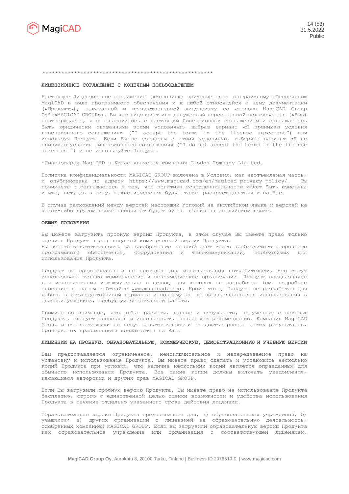

#### \*\*\*\*\*\*\*\*\*\*\*\*\*\*\*\*\*\*\*\*\*\*\*\*\*\*\*\*\*\*\*\*\*\*\*\*\*\*\*\*\*\*\*\*\*\*\*\*\*\*\*\*\*\*

#### **ЛИЦЕНЗИОННОЕ СОГЛАШЕНИЕ С КОНЕЧНЫМ ПОЛЬЗОВАТЕЛЕМ**

Настоящее Лицензионное соглашение («Условия») применяется к программному обеспечению MagiCAD в виде программного обеспечения и к любой относящейся к нему документации («Продукт»), заказанной и предоставленной лицензиату со стороны MagiCAD Group Oy\*(«MAGICAD GROUP»). Вы как лицензиат или допущенный персональный пользователь («Вы») подтверждаете, что ознакомились с настоящим Лицензионным соглашением и соглашаетесь быть юридически связанными этими условиями, выбрав вариант «Я принимаю условия лицензионного соглашения» ("I accept the terms in the license agreement") или используя Продукт. Если Вы не согласны с этими условиями, выберите вариант «Я не принимаю условия лицензионного соглашения» ("I do not accept the terms in the license agreement") и не используйте Продукт.

\*Лицензиаром MagiCAD в Китае является компания Glodon Company Limited.

Политика конфиденциальности MAGICAD GROUP включена в Условия, как неотъемлемая часть, и опубликована по адресу <https://www.magicad.com/en/magicad-privacy-policy/>. Вы понимаете и соглашаетесь с тем, что политика конфиденциальности может быть изменена и что, вступив в силу, такие изменения будут также распространяться и на Вас.

В случае расхождений между версией настоящих Условий на английском языке и версией на каком-либо другом языке приоритет будет иметь версия на английском языке.

## **ОБЩИЕ ПОЛОЖЕНИЯ**

Вы можете загрузить пробную версию Продукта, в этом случае Вы имеете право только оценить Продукт перед покупкой коммерческой версии Продукта. Вы несете ответственность за приобретение за свой счет всего необходимого стороннего программного обеспечения, оборудования и телекоммуникаций, необходимых для использования Продукта.

Продукт не предназначен и не пригоден для использования потребителями, Его могут использовать только коммерческие и некоммерческие организации. Продукт предназначен для использования исключительно в целях, для которых он разработан (см. подробное описание на нашем веб-сайте [www.magicad.com\)](http://www.magicad.com/). Кроме того, Продукт не разработан для работы в отказоустойчивом варианте и поэтому он не предназначен для использования в опасных условиях, требующих безотказной работы.

Примите во внимание, что любые расчеты, данные и результаты, полученные с помощью Продукта, следует проверять и использовать только как рекомендации. Компания MagiCAD Group и ее поставщики не несут ответственности за достоверность таких результатов. Проверка их правильности возлагается на Вас.

## **ЛИЦЕНЗИИ НА ПРОБНУЮ, ОБРАЗОВАТЕЛЬНУЮ, КОММЕРЧЕСКУЮ, ДЕМОНСТРАЦИОННУЮ И УЧЕБНУЮ ВЕРСИИ**

Вам предоставляется ограниченное, неисключительное и непередаваемое право на установку и использование Продукта. Вы имеете право сделать и установить несколько копий Продукта при условии, что наличие нескольких копий является оправданным для обычного использования Продукта. Все такие копии должны включать уведомления, касающиеся авторских и других прав MAGICAD GROUP.

Если Вы загрузили пробную версию Продукта, Вы имеете право на использование Продукта бесплатно, строго с единственной целью оценки возможности и удобства использования Продукта в течение отдельно указанного срока действия лицензии.

Образовательная версия Продукта предназначена для, а) образовательных учреждений; б) учащихся; в) других организаций с лицензией на образовательную деятельность, одобренных компанией MAGICAD GROUP. Если вы загрузили образовательную версию Продукта как образовательное учреждение или организация с соответствующей лицензией,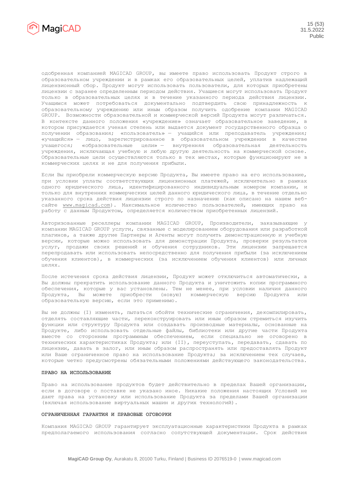

одобренная компанией MAGICAD GROUP, вы имеете право использовать Продукт строго в образовательном учреждении и в рамках его образовательных целей, уплатив надлежащий лицензионный сбор. Продукт могут использовать пользователи, для которых приобретены лицензии с заранее определенным периодом действия. Учащиеся могут использовать Продукт только в образовательных целях и в течение указанного периода действия лицензии. Учащимся может потребоваться документально подтвердить свою принадлежность к образовательному учреждению или иным образом получить одобрение компании MAGICAD GROUP. Возможности образовательной и коммерческой версий Продукта могут различаться. В контексте данного положения «учреждение» означает образовательное заведение, в котором присуждается ученая степень или выдается документ государственного образца о получении образования; «пользователь» — учащийся или преподаватель учреждения; «учащийся» — лицо, зарегистрированное в образовательном учреждении в качестве учащегося; «образовательные цели» — внутренняя образовательная деятельность учреждения, исключающая учебную и любую другую деятельность на коммерческой основе. Образовательные цели осуществляются только в тех местах, которые функционируют не в коммерческих целях и не для получения прибыли.

Если Вы приобрели коммерческую версию Продукта, Вы имеете право на его использование, при условии уплаты соответствующих лицензионных платежей, исключительно в рамках одного юридического лица, идентифицированного индивидуальным номером компании, и только для внутренних коммерческих целей данного юридического лица, в течение отдельно указанного срока действия лицензии строго по назначению (как описано на нашем вебсайте [www.magicad.com\)](http://www.magicad.com/). Максимальное количество пользователей, имеющих право на работу с данным Продуктом, определяется количеством приобретенных лицензий.

Авторизованные реселлеры компании MAGICAD GROUP, Производители, заказывающие у компании MAGICAD GROUP услуги, связанные с моделированием оборудования или разработкой плагинов, а также другие Партнеры и Агенты могут получить демонстрационную и учебную версии, которые можно использовать для демонстрации Продукта, проверки результатов услуг, продажи своих решений и обучения сотрудников. Эти лицензии запрещается перепродавать или использовать непосредственно для получения прибыли (за исключением обучения клиентов), в коммерческих (за исключением обучения клиентов) или личных целях.

После истечения срока действия лицензии, Продукт может отключиться автоматически, а Вы должны прекратить использование данного Продукта и уничтожить копии программного обеспечения, которые у вас установлены. Тем не менее, при условии наличия данного Продукта, Вы можете приобрести (новую) коммерческую версию Продукта образовательную версию, если это применимо.

Вы не должны (I) изменять, пытаться обойти технические ограничения, декомпилировать, отделять составляющие части, переконструировать или иным образом стремиться изучить функции или структуру Продукта или создавать производные материалы, основанные на Продукте, либо использовать отдельные файлы, библиотеки или другие части Продукта вместе со сторонним программным обеспечением, если специально не оговорено в технических характеристиках Продукта; или (II), переуступать, передавать, сдавать по лицензии, давать в залог, или иным образом распространять или предоставлять Продукт или Ваше ограниченное право на использование Продукта; за исключением тех случаев, которые четко предусмотрены обязательными положениями действующего законодательства.

## **ПРАВО НА ИСПОЛЬЗОВАНИЕ**

Право на использование продуктов будет действительно в пределах Вашей организации, если в договоре о поставке не указано иное. Никакие положения настоящих Условий не дают права на установку или использование Продукта за пределами Вашей организации (включая использование виртуальных машин и других технологий).

## **ОГРАНИЧЕННАЯ ГАРАНТИЯ И ПРАВОВЫЕ ОГОВОРКИ**

Компания MAGICAD GROUP гарантирует эксплуатационные характеристики Продукта в рамках предполагаемого использования согласно сопутствующей документации. Срок действия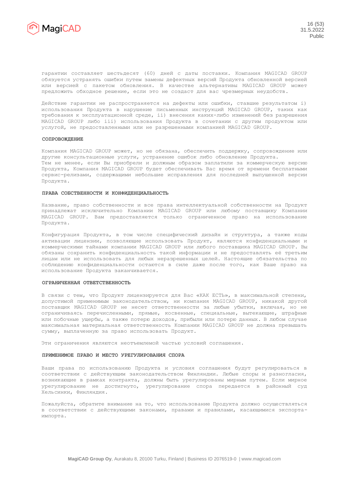

гарантии составляет шестьдесят (60) дней с даты поставки. Компания MAGICAD GROUP обязуется устранять ошибки путем замены дефектных версий Продукта обновленной версией или версией с пакетом обновления. В качестве альтернативы MAGICAD GROUP может предложить обходное решение, если это не создаст для вас чрезмерных неудобств.

Действие гарантии не распространяется на дефекты или ошибки, ставшие результатом i) использования Продукта в нарушение письменных инструкций MAGICAD GROUP, таких как требования к эксплуатационной среде, ii) внесения каких-либо изменений без разрешения MAGICAD GROUP либо iii) использования Продукта в сочетании с другим продуктом или услугой, не предоставленными или не разрешенными компанией MAGICAD GROUP.

## **СОПРОВОЖДЕНИЕ**

Компания MAGICAD GROUP может, но не обязана, обеспечить поддержку, сопровождение или другие консультационные услуги, устранение ошибок либо обновление Продукта. Тем не менее, если Вы приобрели и должным образом заплатили за коммерческую версию Продукта, Компания MAGICAD GROUP будет обеспечивать Вас время от времени бесплатными сервис-релизами, содержащими небольшие исправления для последней выпущенной версии Продукта.

#### **ПРАВА СОБСТВЕННОСТИ И КОНФИДЕНЦИАЛЬНОСТЬ**

Название, право собственности и все права интеллектуальной собственности на Продукт принадлежат исключительно Компании MAGICAD GROUP или любому поставщику Компании MAGICAD GROUP. Вам предоставляется только ограниченное право на использование Продукта.

Конфигурация Продукта, в том числе специфический дизайн и структура, а также коды активации лицензии, позволяющие использовать Продукт, являются конфиденциальными и коммерческими тайнами компании MAGICAD GROUP или любого поставщика MAGICAD GROUP. Вы обязаны сохранить конфиденциальность такой информации и не предоставлять её третьим лицам или не использовать для любых неразрешенных целей. Настоящие обязательства по соблюдению конфиденциальности остаются в силе даже после того, как Ваше право на использование Продукта заканчивается.

#### **ОГРАНИЧЕННАЯ ОТВЕТСТВЕННОСТЬ**

В связи с тем, что Продукт лицензируется для Вас «КАК ЕСТЬ», в максимальной степени, допустимой применимым законодательством, ни компания MAGICAD GROUP, никакой другой поставщик MAGICAD GROUP не несет ответственности за любые убытки, включая, но не ограничиваясь перечисленными, прямые, косвенные, специальные, вытекающие, штрафные или побочные ущербы, а также потерю доходов, прибыли или потерю данных. В любом случае максимальная материальная ответственность Компании MAGICAD GROUP не должна превышать сумму, выплаченную за право использовать Продукт.

Эти ограничения являются неотъемлемой частью условий соглашения.

#### **ПРИМЕНИМОЕ ПРАВО И МЕСТО УРЕГУЛИРОВАНИЯ СПОРА**

Ваши права по использованию Продукта и условия соглашения будут регулироваться в соответствии с действующим законодательством Финляндии. Любые споры и разногласия, возникающие в рамках контракта, должны быть урегулированы мирным путем. Если мирное урегулирование не достигнуто, урегулирование спора передается в районный суд Хельсинки, Финляндия.

Пожалуйста, обратите внимание на то, что использование Продукта должно осуществляться в соответствии с действующими законами, правами и правилами, касающимися экспортаимпорта.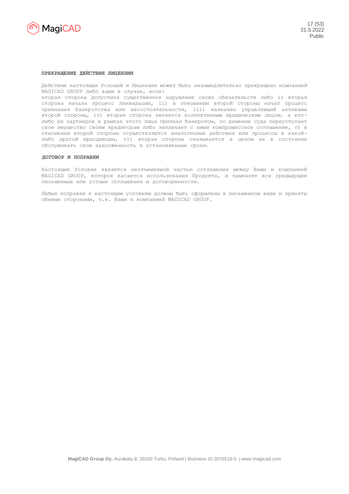

## **ПРЕКРАЩЕНИЕ ДЕЙСТВИЯ ЛИЦЕНЗИИ**

Действие настоящих Условий и Лицензии может быть незамедлительно прекращено компанией MAGICAD GROUP либо вами в случае, если:

вторая сторона допустила существенное нарушение своих обязательств либо i) вторая сторона начала процесс ликвидации, ii) в отношении второй стороны начат процесс признания банкротства или несостоятельности, iii) назначен управляющий активами второй стороны, iv) вторая сторона является коллективным юридическим лицом, а ктолибо из партнеров в рамках этого лица признан банкротом, по решению суда переуступает свое имущество своим кредиторам либо заключает с ними компромиссное соглашение, v) в отношении второй стороны осуществляются аналогичные действия или процессы в какойлибо другой юрисдикции, vi) вторая сторона оказывается в целом не в состоянии обслуживать свою задолженность в установленные сроки.

## **ДОГОВОР И ПОПРАВКИ**

Настоящие Условия являются неотъемлемой частью соглашения между Вами и компанией MAGICAD GROUP, которое касается использования Продукта, и заменяет все предыдущие письменные или устные соглашения и договоренности.

Любые поправки к настоящим условиям должны быть оформлены в письменном виде и приняты обеими сторонами, т.е. Вами и компанией MAGICAD GROUP.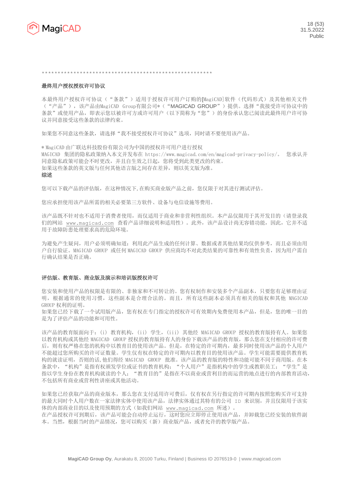

\*\*\*\*\*\*\*\*\*\*\*\*\*\*\*\*\*\*\*\*\*\*\*\*\*\*\*\*\*\*\*\*\*\*\*\*\*\*\*\*\*\*\*\*\*\*\*\*\*\*\*\*\*\*

# 最终用户授权授权许可协议

本最终用户授权许可协议("条款")适用于授权许可用户订购的[MagiCAD]软件(代码形式)及其他相关文件 ("产品"),该产品由MagiCAD Group有限公司\*("MAGICAD GROUP")提供。选择"我接受许可协议中的 条款"或使用产品,即表示您以被许可方或许可用户(以下简称为"您")的身份承认您已阅读此最终用户许可协 议并同意接受这些条款的法律约束。

如果您不同意这些条款,请选择"我不接受授权许可协议"选项,同时请不要使用该产品。

\* MagiCAD 由广联达科技股份有限公司为中国的授权许可用户进行授权 MAGICAD 集团的隐私政策纳入本文并发布在 https://www.magicad.com/en/magicad-privacy-policy/。 您承认并 同意隐私政策可能会不时更改,并且自生效之日起,您将受到此类更改的约束。 如果这些条款的英文版与任何其他语言版之间存在差异,则以英文版为准。

# 综述

您可以下载产品的评估版,在这种情况下,在购买商业版产品之前,您仅限于对其进行测试评估。

您应承担使用该产品所需的相关必要第三方软件、设备与电信设施等费用。

该产品既不针对也不适用于消费者使用,而仅适用于商业和非营利性组织。本产品仅限用于其开发目的(请登录我 们的网站 [www.magicad.com](http://www.magicad.com/) 查看产品详细说明和适用性)。此外,该产品设计尚无容错功能,因此,它并不适 用于故障防患处理要求高的危险环境。

为避免产生疑问,用户必须明确知道:利用此产品生成的任何计算、数据或者其他结果均仅供参考,而且必须由用 户自行验证。MAGICAD GROUP 或任何 MAGICAD GROUP 供应商均不对此类结果的可靠性和有效性负责,因为用户需自 行确认结果是否正确。

#### 评估版、教育版、商业版及演示和培训版授权许可

您安装和使用产品的权限是有限的、非独家和不可转让的。您有权制作和安装多个产品副本,只要您有足够理由证 明,根据通常的使用习惯,这些副本是合理合法的。而且,所有这些副本必须具有相关的版权和其他 MAGICAD GROUP 权利的证明。

如果您已经下载了一个试用版产品,您有权在专门指定的授权许可有效期内免费使用本产品,但是,您的唯一目的 是为了评估产品的功能和可用性。

该产品的教育版面向于: (i) 教育机构, (ii) 学生, (iii) 其他经 MAGICAD GROUP 授权的教育版持有人。如果您 以教育机构或其他经 MAGICAD GROUP 授权的教育版持有人的身份下载该产品的教育版,那么您在支付相应的许可费 后,则有权严格在您的机构中以教育目的使用该产品。但是,在特定的许可期内,最多同时使用该产品的个人用户 不能超过您所购买的许可证数量。学生仅有权在特定的许可期内以教育目的使用该产品。学生可能需要提供教育机 构的就读证明,否则的话,他们得经 MAGICAD GROUP 批准。该产品的教育版的特性和功能可能不同于商用版。在本 条款中, "机构"是指有权颁发学位或证书的教育机构; "个人用户"是指机构中的学生或教职员工; "学生"是 指以学生身份在教育机构就读的个人; "教育目的"是指在不以商业或营利目的而运营的地点进行的内部教育活动, 不包括所有商业或营利性讲座或其他活动。

如果您已经获取产品的商业版本,那么您在支付适用许可费后,仅有权在另行指定的许可期内按照您购买许可支持 的最大同时个人用户数在一家法律实体中使用该产品,法律实体通过其特有的公司 ID 来识别,并且仅限用于该实 体的内部商业目的以及使用预期的方式(如我们网站 [www.magicad.com](http://www.magicad.com/) 所述)。 在产品授权许可到期后,该产品可能会自动停止运行,这时您应立即停止使用该产品,并卸载您已经安装的软件副 本。当然,根据当时的产品情况,您可以购买(新)商业版产品,或者允许的教学版产品。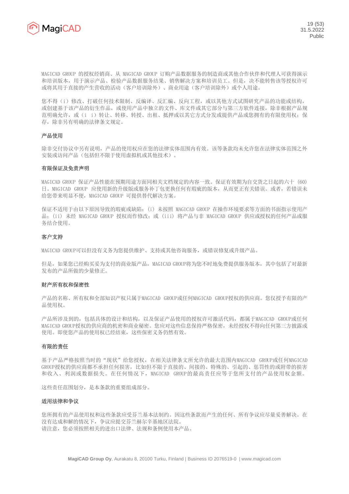

MAGICAD GROUP 的授权经销商、从 MAGICAD GROUP 订购产品数据服务的制造商或其他合作伙伴和代理人可获得演示 和培训版本,用于演示产品、检验产品数据服务结果、销售解决方案和培训员工。但是,决不能转售该等授权许可 或将其用于直接的产生营收的活动(客户培训除外)、商业用途(客户培训除外)或个人用途。

您不得(i)修改、打破任何技术限制、反编译、反汇编、反向工程,或以其他方式试图研究产品的功能或结构, 或创建基于该产品的衍生作品,或使用产品中独立的文件、库文件或其它部分与第三方软件连接,除非根据产品规 范明确允许, 或(i i)转让、转移、转授、出租、抵押或以其它方式分发或提供产品或您拥有的有限使用权; 保 存,除非另有明确的法律条文规定。

# 产品使用

除非交付协议中另有说明,产品的使用权应在您的法律实体范围内有效。该等条款均未允许您在法律实体范围之外 安装或访问产品(包括但不限于使用虚拟机或其他技术)。

# 有限保证及免责声明

MAGICAD GROUP 保证产品性能在预期用途方面同相关文档规定的内容一致。保证有效期为自交货之日起的六十 (60) 日。MAGICAD GROUP 应使用新的升级版或服务补丁包更换任何有瑕疵的版本,从而更正有关错误。或者,若错误未 给您带来明显不便,MAGICAD GROUP 可提供替代解决方案。

保证不适用于由以下原因导致的瑕疵或缺陷:(i) 未按照 MAGICAD GROUP 在操作环境要求等方面的书面指示使用产 品: (ii) 未经 MAGICAD GROUP 授权而作修改: 或 (iii) 将产品与非 MAGICAD GROUP 供应或授权的任何产品或服 务结合使用。

# 客户支持

MAGICAD GROUP可以但没有义务为您提供维护、支持或其他咨询服务, 或错误修复或升级产品。

但是,如果您已经购买妥为支付的商业版产品,MAGICAD GROUP将为您不时地免费提供服务版本,其中包括了对最新 发布的产品所做的少量修正。

# 财产所有权和保密性

产品的名称、所有权和全部知识产权只属于MAGICAD GROUP或任何MAGICAD GROUP授权的供应商。您仅授予有限的产 品使用权。

产品所涉及到的,包括具体的设计和结构,以及保证产品使用的授权许可激活代码,都属于MAGICAD GROUP或任何 MAGICAD GROUP授权的供应商的机密和商业秘密。您应对这些信息保持严格保密,未经授权不得向任何第三方披露或 使用。即使您产品的使用权已经结束,这些保密义务仍然有效。

# 有限的责任

基于产品严格按照当时的"现状"给您授权,在相关法律条文所允许的最大范围内MAGICAD GROUP或任何MAGICAD GROUP授权的供应商都不承担任何损害,比如但不限于直接的、间接的、特殊的、引起的、惩罚性的或附带的损害 和收入、利润或数据损失。在任何情况下,MAGICAD GROUP的最高责任应等于您所支付的产品使用权金额。

这些责任范围划分,是本条款的重要组成部分。

# 适用法律和争议

您所拥有的产品使用权和这些条款应受芬兰基本法制约。因这些条款而产生的任何、所有争议应尽量妥善解决。在 没有达成和解的情况下,争议应提交芬兰赫尔辛基地区法院。 请注意,您必须按照相关的进出口法律、法规和条例使用本产品。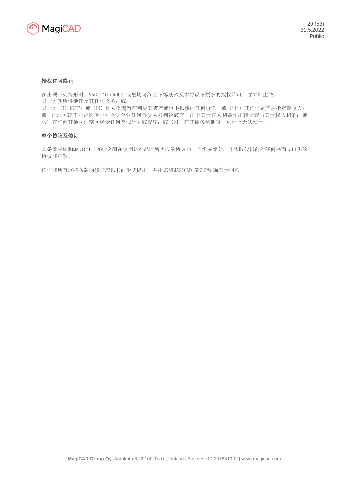

# 授权许可终止

在出现下列情形时,MAGICAD GROUP 或您均可终止该等条款及本协议下授予的授权许可,并立即生效: 另一方实质性地违反其任何义务;或: 另一方 (i) 破产; 或 (ii) 他人提起旨在判决其破产或资不抵债的任何诉讼; 或 (iii) 其任何资产被指定接收人; 或 (iv)(若其为合伙企业)合伙企业任何合伙人被判决破产、出于其债权人利益作出转让或与其债权人和解;或

(v) 在任何其他司法辖区经受任何类似行为或程序;或 (vi) 在其债务到期时,总体上无法偿债。

# 整个协议及修订

本条款是您和MAGICAD GROUP之间在使用该产品时所达成的协议的一个组成部分,并将取代以前的任何书面或口头的 协议和谅解。

任何和所有这些条款的修订应以书面形式提出,并由您和MAGICAD GROUP明确表示同意。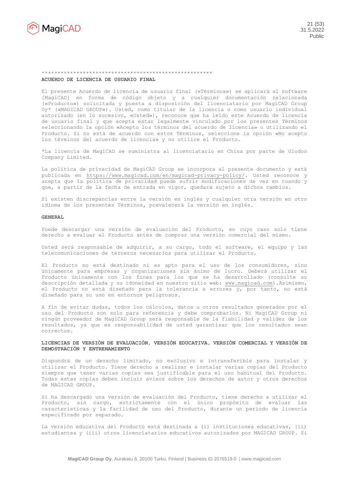

# \*\*\*\*\*\*\*\*\*\*\*\*\*\*\*\*\*\*\*\*\*\*\*\*\*\*\*\*\*\*\*\*\*\*\*\*\*\*\*\*\*\*\*\*\*\*\*\*\*\*\*\*\*\*

# **ACUERDO DE LICENCIA DE USUARIO FINAL**

El presente Acuerdo de licencia de usuario final («Términos») se aplicará al software [MagiCAD] en forma de código objeto y a cualquier documentación relacionada («Producto») solicitada y puesta a disposición del licenciatario por MagiCAD Group Oy\* («MAGICAD GROUP»). Usted, como titular de la licencia o como usuario individual autorizado (en lo sucesivo, «Usted»), reconoce que ha leído este Acuerdo de licencia de usuario final y que acepta estar legalmente vinculado por los presentes Términos seleccionando la opción «Acepto los términos del acuerdo de licencia» o utilizando el Producto. Si no está de acuerdo con estos Términos, seleccione la opción «No acepto los términos del acuerdo de licencia» y no utilice el Producto.

\*La licencia de MagiCAD se suministra al licenciatario en China por parte de Glodon Company Limited.

La política de privacidad de MagiCAD Group se incorpora al presente documento y está publicada en [https://www.magicad.com/en/magicad-privacy-policy/.](https://www.magicad.com/en/magicad-privacy-policy/) Usted reconoce y acepta que la política de privacidad puede sufrir modificaciones de vez en cuando y que, a partir de la fecha de entrada en vigor, quedará sujeto a dichos cambios.

Si existen discrepancias entre la versión en inglés y cualquier otra versión en otro idioma de los presentes Términos, prevalecerá la versión en inglés.

## **GENERAL**

Puede descargar una versión de evaluación del Producto, en cuyo caso solo tiene derecho a evaluar el Producto antes de comprar una versión comercial del mismo.

Usted será responsable de adquirir, a su cargo, todo el software, el equipo y las telecomunicaciones de terceros necesarios para utilizar el Producto.

El Producto no está destinado ni es apto para el uso de los consumidores, sino únicamente para empresas y organizaciones sin ánimo de lucro. Deberá utilizar el Producto únicamente con los fines para los que se ha desarrollado (consulte su descripción detallada y su idoneidad en nuestro sitio web: [www.magicad.com\)](http://www.magicad.com/).Asimismo, el Producto no está diseñado para la tolerancia a errores y, por tanto, no está diseñado para su uso en entornos peligrosos.

A fin de evitar dudas, todos los cálculos, datos u otros resultados generados por el uso del Producto son solo para referencia y debe comprobarlos. Ni MagiCAD Group ni ningún proveedor de MagiCAD Group será responsable de la fiabilidad y validez de los resultados, ya que es responsabilidad de usted garantizar que los resultados sean correctos.

# **LICENCIAS DE VERSIÓN DE EVALUACIÓN, VERSIÓN EDUCATIVA, VERSIÓN COMERCIAL Y VERSIÓN DE DEMOSTRACIÓN Y ENTRENAMIENTO**

Dispondrá de un derecho limitado, no exclusivo e intransferible para instalar y utilizar el Producto. Tiene derecho a realizar e instalar varias copias del Producto siempre que tener varias copias sea justificable para el uso habitual del Producto. Todas estas copias deben incluir avisos sobre los derechos de autor y otros derechos de MAGICAD GROUP.

Si ha descargado una versión de evaluación del Producto, tiene derecho a utilizar el Producto, sin cargo, estrictamente con el único propósito de evaluar las características y la facilidad de uso del Producto, durante un período de licencia especificado por separado.

La versión educativa del Producto está destinada a (i) instituciones educativas, (ii) estudiantes y (iii) otros licenciatarios educativos autorizados por MAGICAD GROUP. Si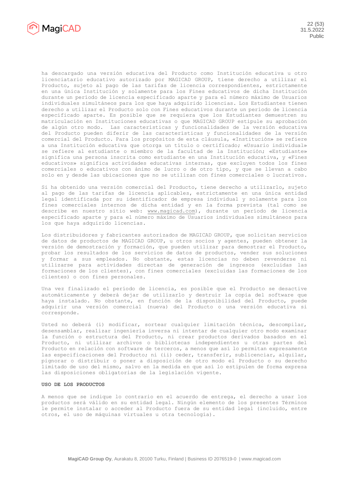

ha descargado una versión educativa del Producto como Institución educativa u otro licenciatario educativo autorizado por MAGICAD GROUP, tiene derecho a utilizar el Producto, sujeto al pago de las tarifas de licencia correspondientes, estrictamente en una única Institución y solamente para los Fines educativos de dicha Institución durante un período de licencia especificado aparte y para el número máximo de Usuarios individuales simultáneos para los que haya adquirido licencias. Los Estudiantes tienen derecho a utilizar el Producto solo con Fines educativos durante un período de licencia especificado aparte. Es posible que se requiera que los Estudiantes demuestren su matriculación en Instituciones educativas o que MAGICAD GROUP estipule su aprobación de algún otro modo. Las características y funcionalidades de la versión educativa del Producto pueden diferir de las características y funcionalidades de la versión comercial del Producto. Para los propósitos de esta cláusula, «Institución» se refiere a una Institución educativa que otorga un título o certificado; «Usuario individual» se refiere al estudiante o miembro de la facultad de la Institución; «Estudiante» significa una persona inscrita como estudiante en una Institución educativa, y «Fines educativos» significa actividades educativas internas, que excluyen todos los fines comerciales o educativos con ánimo de lucro o de otro tipo, y que se llevan a cabo solo en y desde las ubicaciones que no se utilizan con fines comerciales o lucrativos.

Si ha obtenido una versión comercial del Producto, tiene derecho a utilizarlo, sujeto al pago de las tarifas de licencia aplicables, estrictamente en una única entidad legal identificada por su identificador de empresa individual y solamente para los fines comerciales internos de dicha entidad y en la forma prevista (tal como se describe en nuestro sitio web: [www.magicad.com\)](http://www.magicad.com/), durante un período de licencia especificado aparte y para el número máximo de Usuarios individuales simultáneos para los que haya adquirido licencias.

Los distribuidores y fabricantes autorizados de MAGICAD GROUP, que solicitan servicios de datos de productos de MAGICAD GROUP, u otros socios y agentes, pueden obtener la versión de demostración y formación, que pueden utilizar para demostrar el Producto, probar los resultados de los servicios de datos de productos, vender sus soluciones y formar a sus empleados. No obstante, estas licencias no deben revenderse ni utilizarse para actividades directas de generación de ingresos (excluidas las formaciones de los clientes), con fines comerciales (excluidas las formaciones de los clientes) o con fines personales.

Una vez finalizado el período de licencia, es posible que el Producto se desactive automáticamente y deberá dejar de utilizarlo y destruir la copia del software que haya instalado. No obstante, en función de la disponibilidad del Producto, puede adquirir una versión comercial (nueva) del Producto o una versión educativa si corresponde.

Usted no deberá (i) modificar, sortear cualquier limitación técnica, descompilar, desensamblar, realizar ingeniería inversa ni intentar de cualquier otro modo examinar la función o estructura del Producto, ni crear productos derivados basados en el Producto, ni utilizar archivos o bibliotecas independientes u otras partes del Producto en relación con software de terceros, a menos que así lo permitan expresamente las especificaciones del Producto; ni (ii) ceder, transferir, sublicenciar, alquilar, pignorar o distribuir o poner a disposición de otro modo el Producto o su derecho limitado de uso del mismo, salvo en la medida en que así lo estipulen de forma expresa las disposiciones obligatorias de la legislación vigente.

## **USO DE LOS PRODUCTOS**

A menos que se indique lo contrario en el acuerdo de entrega, el derecho a usar los productos será válido en su entidad legal. Ningún elemento de los presentes Términos le permite instalar o acceder al Producto fuera de su entidad legal (incluido, entre otros, el uso de máquinas virtuales u otra tecnología).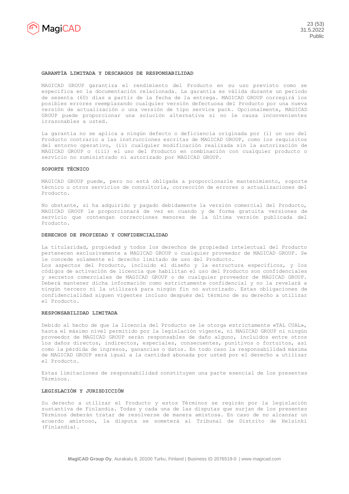

#### **GARANTÍA LIMITADA Y DESCARGOS DE RESPONSABILIDAD**

MAGICAD GROUP garantiza el rendimiento del Producto en su uso previsto como se especifica en la documentación relacionada. La garantía es válida durante un período de sesenta (60) días a partir de la fecha de la entrega. MAGICAD GROUP corregirá los posibles errores reemplazando cualquier versión defectuosa del Producto por una nueva versión de actualización o una versión de tipo service pack. Opcionalmente, MAGICAD GROUP puede proporcionar una solución alternativa si no le causa inconvenientes irrazonables a usted.

La garantía no se aplica a ningún defecto o deficiencia originada por (i) un uso del Producto contrario a las instrucciones escritas de MAGICAD GROUP, como los requisitos del entorno operativo, (ii) cualquier modificación realizada sin la autorización de MAGICAD GROUP o (iii) el uso del Producto en combinación con cualquier producto o servicio no suministrado ni autorizado por MAGICAD GROUP.

#### **SOPORTE TÉCNICO**

MAGICAD GROUP puede, pero no está obligada a proporcionarle mantenimiento, soporte técnico u otros servicios de consultoría, corrección de errores o actualizaciones del Producto.

No obstante, si ha adquirido y pagado debidamente la versión comercial del Producto, MAGICAD GROUP le proporcionará de vez en cuando y de forma gratuita versiones de servicio que contengan correcciones menores de la última versión publicada del Producto.

#### **DERECHOS DE PROPIEDAD Y CONFIDENCIALIDAD**

La titularidad, propiedad y todos los derechos de propiedad intelectual del Producto pertenecen exclusivamente a MAGICAD GROUP o cualquier proveedor de MAGICAD GROUP. Se le concede solamente el derecho limitado de uso del Producto.

Los aspectos del Producto, incluido el diseño y la estructura específicos, y los códigos de activación de licencia que habilitan el uso del Producto son confidenciales y secretos comerciales de MAGICAD GROUP o de cualquier proveedor de MAGICAD GROUP. Deberá mantener dicha información como estrictamente confidencial y no la revelará a ningún tercero ni la utilizará para ningún fin no autorizado. Estas obligaciones de confidencialidad siguen vigentes incluso después del término de su derecho a utilizar el Producto.

## **RESPONSABILIDAD LIMITADA**

Debido al hecho de que la licencia del Producto se le otorga estrictamente «TAL CUAL», hasta el máximo nivel permitido por la legislación vigente, ni MAGICAD GROUP ni ningún proveedor de MAGICAD GROUP serán responsables de daño alguno, incluidos entre otros los daños directos, indirectos, especiales, consecuentes, punitivos o fortuitos, así como la pérdida de ingresos, ganancias o datos. En todo caso la responsabilidad máxima de MAGICAD GROUP será igual a la cantidad abonada por usted por el derecho a utilizar el Producto.

Estas limitaciones de responsabilidad constituyen una parte esencial de los presentes Términos.

## **LEGISLACIÓN Y JURISDICCIÓN**

Su derecho a utilizar el Producto y estos Términos se regirán por la legislación sustantiva de Finlandia. Todas y cada una de las disputas que surjan de los presentes Términos deberán tratar de resolverse de manera amistosa. En caso de no alcanzar un acuerdo amistoso, la disputa se someterá al Tribunal de Distrito de Helsinki (Finlandia).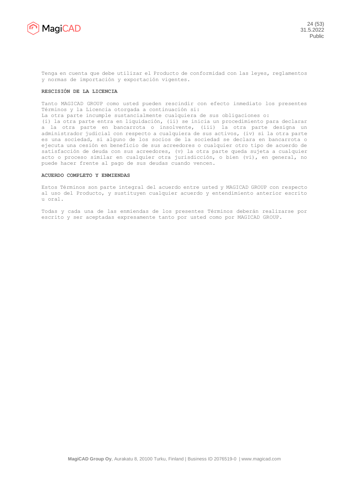

Tenga en cuenta que debe utilizar el Producto de conformidad con las leyes, reglamentos y normas de importación y exportación vigentes.

#### **RESCISIÓN DE LA LICENCIA**

Tanto MAGICAD GROUP como usted pueden rescindir con efecto inmediato los presentes Términos y la Licencia otorgada a continuación si:

La otra parte incumple sustancialmente cualquiera de sus obligaciones o:

(i) la otra parte entra en liquidación, (ii) se inicia un procedimiento para declarar a la otra parte en bancarrota o insolvente, (iii) la otra parte designa un administrador judicial con respecto a cualquiera de sus activos, (iv) si la otra parte es una sociedad, si alguno de los socios de la sociedad se declara en bancarrota o ejecuta una cesión en beneficio de sus acreedores o cualquier otro tipo de acuerdo de satisfacción de deuda con sus acreedores, (v) la otra parte queda sujeta a cualquier acto o proceso similar en cualquier otra jurisdicción, o bien (vi), en general, no puede hacer frente al pago de sus deudas cuando vencen.

## **ACUERDO COMPLETO Y ENMIENDAS**

Estos Términos son parte integral del acuerdo entre usted y MAGICAD GROUP con respecto al uso del Producto, y sustituyen cualquier acuerdo y entendimiento anterior escrito u oral.

Todas y cada una de las enmiendas de los presentes Términos deberán realizarse por escrito y ser aceptadas expresamente tanto por usted como por MAGICAD GROUP.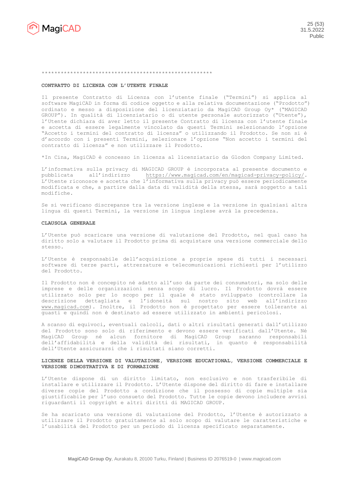

#### \*\*\*\*\*\*\*\*\*\*\*\*\*\*\*\*\*\*\*\*\*\*\*\*\*\*\*\*\*\*\*\*\*\*\*\*\*\*\*\*\*\*\*\*\*\*\*\*\*\*\*\*\*\*

#### **CONTRATTO DI LICENZA CON L'UTENTE FINALE**

Il presente Contratto di Licenza con l'utente finale ("Termini") si applica al software MagiCAD in forma di codice oggetto e alla relativa documentazione ("Prodotto") ordinato e messo a disposizione del licenziatario da MagiCAD Group Oy\* ("MAGICAD GROUP"). In qualità di licenziatario o di utente personale autorizzato ("Utente"), l'Utente dichiara di aver letto il presente Contratto di licenza con l'utente finale e accetta di essere legalmente vincolato da questi Termini selezionando l'opzione "Accetto i termini del contratto di licenza" o utilizzando il Prodotto. Se non si è d'accordo con i presenti Termini, selezionare l'opzione "Non accetto i termini del contratto di licenza" e non utilizzare il Prodotto.

\*In Cina, MagiCAD è concesso in licenza al licenziatario da Glodon Company Limited.

L'informativa sulla privacy di MAGICAD GROUP è incorporata al presente documento e pubblicata all'indirizzo [https://www.magicad.com/en/magicad-privacy-policy/.](https://www.magicad.com/en/magicad-privacy-policy/) L'Utente riconosce e accetta che l'informativa sulla privacy può essere periodicamente modificata e che, a partire dalla data di validità della stessa, sarà soggetto a tali modifiche.

Se si verificano discrepanze tra la versione inglese e la versione in qualsiasi altra lingua di questi Termini, la versione in lingua inglese avrà la precedenza.

## **CLAUSOLA GENERALE**

L'Utente può scaricare una versione di valutazione del Prodotto, nel qual caso ha diritto solo a valutare il Prodotto prima di acquistare una versione commerciale dello stesso.

L'Utente è responsabile dell'acquisizione a proprie spese di tutti i necessari software di terze parti, attrezzature e telecomunicazioni richiesti per l'utilizzo del Prodotto.

Il Prodotto non è concepito né adatto all'uso da parte dei consumatori, ma solo delle imprese e delle organizzazioni senza scopo di lucro. Il Prodotto dovrà essere utilizzato solo per lo scopo per il quale è stato sviluppato (controllare la descrizione dettagliata e l'idoneità sul nostro sito web all'indirizzo [www.magicad.com\)](http://www.magicad.com/). Inoltre, il Prodotto non è progettato per essere tollerante ai guasti e quindi non è destinato ad essere utilizzato in ambienti pericolosi.

A scanso di equivoci, eventuali calcoli, dati o altri risultati generati dall'utilizzo del Prodotto sono solo di riferimento e devono essere verificati dall'Utente. Né MagiCAD Group né alcun fornitore di MagiCAD Group saranno responsabili dell'affidabilità e della validità dei risultati, in quanto è responsabilità dell'Utente assicurarsi che i risultati siano corretti.

## **LICENZE DELLA VERSIONE DI VALUTAZIONE, VERSIONE EDUCATIONAL, VERSIONE COMMERCIALE E VERSIONE DIMOSTRATIVA E DI FORMAZIONE**

L'Utente dispone di un diritto limitato, non esclusivo e non trasferibile di installare e utilizzare il Prodotto. L'Utente dispone del diritto di fare e installare diverse copie del Prodotto a condizione che il possesso di copie multiple sia giustificabile per l'uso consueto del Prodotto. Tutte le copie devono includere avvisi riguardanti il copyright e altri diritti di MAGICAD GROUP.

Se ha scaricato una versione di valutazione del Prodotto, l'Utente è autorizzato a utilizzare il Prodotto gratuitamente al solo scopo di valutare le caratteristiche e l'usabilità del Prodotto per un periodo di licenza specificato separatamente.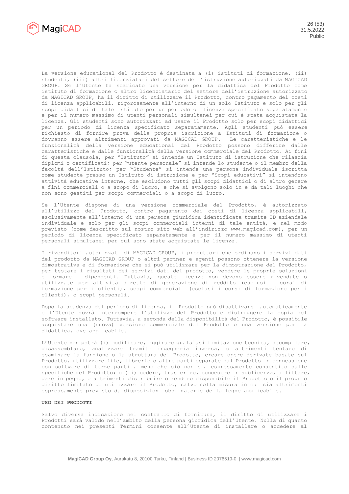

La versione educational del Prodotto è destinata a (i) istituti di formazione, (ii) studenti, (iii) altri licenziatari del settore dell'istruzione autorizzati da MAGICAD GROUP. Se l'Utente ha scaricato una versione per la didattica del Prodotto come istituto di formazione o altro licenziatario del settore dell'istruzione autorizzato da MAGICAD GROUP, ha il diritto di utilizzare il Prodotto, contro pagamento dei costi di licenza applicabili, rigorosamente all'interno di un solo Istituto e solo per gli scopi didattici di tale Istituto per un periodo di licenza specificato separatamente e per il numero massimo di utenti personali simultanei per cui è stata acquistata la licenza. Gli studenti sono autorizzati ad usare il Prodotto solo per scopi didattici per un periodo di licenza specificato separatamente. Agli studenti può essere richiesto di fornire prova della propria iscrizione a Istituti di formazione o dovranno essere altrimenti approvati da MAGICAD GROUP. Le caratteristiche e le funzionalità della versione educational del Prodotto possono differire dalle caratteristiche e dalle funzionalità della versione commerciale del Prodotto. Ai fini di questa clausola, per "Istituto" si intende un Istituto di istruzione che rilascia diplomi o certificati; per "utente personale" si intende lo studente o il membro della facoltà dell'Istituto; per "Studente" si intende una persona individuale iscritta come studente presso un Istituto di istruzione e per "Scopi educativi" si intendono attività educative interne, che escludono tutti gli scopi didattici o di altro genere a fini commerciali o a scopo di lucro, e che si svolgono solo in e da tali luoghi che non sono gestiti per scopi commerciali o a scopo di lucro.

Se l'Utente dispone di una versione commerciale del Prodotto, è autorizzato all'utilizzo del Prodotto, contro pagamento dei costi di licenza applicabili, esclusivamente all'interno di una persona giuridica identificata tramite ID aziendale individuale e solo per gli scopi commerciali interni di tale entità, e nel modo previsto (come descritto sul nostro sito web all'indirizzo [www.magicad.com\)](http://www.magicad.com/), per un periodo di licenza specificato separatamente e per il numero massimo di utenti personali simultanei per cui sono state acquistate le licenze.

I rivenditori autorizzati di MAGICAD GROUP, i produttori che ordinano i servizi dati del prodotto da MAGICAD GROUP o altri partner e agenti possono ottenere la versione dimostrativa e di formazione che si può utilizzare per la dimostrazione del Prodotto, per testare i risultati dei servizi dati del prodotto, vendere le proprie soluzioni e formare i dipendenti. Tuttavia, queste licenze non devono essere rivendute o utilizzate per attività dirette di generazione di reddito (esclusi i corsi di formazione per i clienti), scopi commerciali (esclusi i corsi di formazione per i clienti), o scopi personali.

Dopo la scadenza del periodo di licenza, il Prodotto può disattivarsi automaticamente e l'Utente dovrà interrompere l'utilizzo del Prodotto e distruggere la copia del software installato. Tuttavia, a seconda della disponibilità del Prodotto, è possibile acquistare una (nuova) versione commerciale del Prodotto o una versione per la didattica, ove applicabile.

L'Utente non potrà (i) modificare, aggirare qualsiasi limitazione tecnica, decompilare, disassemblare, analizzare tramite ingegneria inversa, o altrimenti tentare di esaminare la funzione o la struttura del Prodotto, creare opere derivate basate sul Prodotto, utilizzare file, librerie o altre parti separate dal Prodotto in connessione con software di terze parti a meno che ciò non sia espressamente consentito dalle specifiche del Prodotto; o (ii) cedere, trasferire, concedere in sublicenza, affittare, dare in pegno, o altrimenti distribuire o rendere disponibile il Prodotto o il proprio diritto limitato di utilizzare il Prodotto; salvo nella misura in cui sia altrimenti espressamente previsto da disposizioni obbligatorie della legge applicabile.

# **USO DEI PRODOTTI**

Salvo diversa indicazione nel contratto di fornitura, il diritto di utilizzare i Prodotti sarà valido nell'ambito della persona giuridica dell'Utente. Nulla di quanto contenuto nei presenti Termini consente all'Utente di installare o accedere al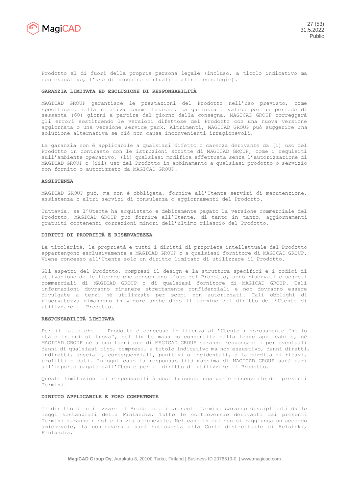

Prodotto al di fuori della propria persona legale (incluso, a titolo indicativo ma non esaustivo, l'uso di macchine virtuali o altre tecnologie).

#### **GARANZIA LIMITATA ED ESCLUSIONE DI RESPONSABILITÀ**

MAGICAD GROUP garantisce le prestazioni del Prodotto nell'uso previsto, come specificato nella relativa documentazione. La garanzia è valida per un periodo di sessanta (60) giorni a partire dal giorno della consegna. MAGICAD GROUP correggerà gli errori sostituendo le versioni difettose del Prodotto con una nuova versione aggiornata o una versione service pack. Altrimenti, MAGICAD GROUP può suggerire una soluzione alternativa se ciò non causa inconvenienti irragionevoli.

La garanzia non è applicabile a qualsiasi difetto o carenza derivante da (i) uso del Prodotto in contrasto con le istruzioni scritte di MAGICAD GROUP, come i requisiti sull'ambiente operativo, (ii) qualsiasi modifica effettuata senza l'autorizzazione di MAGICAD GROUP o (iii) uso del Prodotto in abbinamento a qualsiasi prodotto o servizio non fornito o autorizzato da MAGICAD GROUP.

#### **ASSISTENZA**

MAGICAD GROUP può, ma non è obbligata, fornire all'Utente servizi di manutenzione, assistenza o altri servizi di consulenza o aggiornamenti del Prodotto.

Tuttavia, se l'Utente ha acquistato e debitamente pagato la versione commerciale del Prodotto, MAGICAD GROUP può fornire all'Utente, di tanto in tanto, aggiornamenti gratuiti contenenti correzioni minori dell'ultimo rilascio del Prodotto.

#### **DIRITTI DI PROPRIETÀ E RISERVATEZZA**

La titolarità, la proprietà e tutti i diritti di proprietà intellettuale del Prodotto appartengono esclusivamente a MAGICAD GROUP o a qualsiasi fornitore di MAGICAD GROUP. Viene concesso all'Utente solo un diritto limitato di utilizzare il Prodotto.

Gli aspetti del Prodotto, compresi il design e la struttura specifici e i codici di attivazione delle licenze che consentono l'uso del Prodotto, sono riservati e segreti commerciali di MAGICAD GROUP o di qualsiasi fornitore di MAGICAD GROUP. Tali informazioni dovranno rimanere strettamente confidenziali e non dovranno essere divulgate a terzi né utilizzate per scopi non autorizzati. Tali obblighi di riservatezza rimangono in vigore anche dopo il termine del diritto dell'Utente di utilizzare il Prodotto.

# **RESPONSABILITÀ LIMITATA**

Per il fatto che il Prodotto è concesso in licenza all'Utente rigorosamente "nello stato in cui si trova", nel limite massimo consentito dalla legge applicabile, né MAGICAD GROUP né alcun fornitore di MAGICAD GROUP saranno responsabili per eventuali danni di qualsiasi tipo, compresi, a titolo indicativo ma non esaustivo, danni diretti, indiretti, speciali, consequenziali, punitivi o incidentali, e la perdita di ricavi, profitti o dati. In ogni caso la responsabilità massima di MAGICAD GROUP sarà pari all'importo pagato dall'Utente per il diritto di utilizzare il Prodotto.

Queste limitazioni di responsabilità costituiscono una parte essenziale dei presenti Termini.

## **DIRITTO APPLICABILE E FORO COMPETENTE**

Il diritto di utilizzare il Prodotto e i presenti Termini saranno disciplinati dalle leggi sostanziali della Finlandia. Tutte le controversie derivanti dai presenti Termini saranno risolte in via amichevole. Nel caso in cui non si raggiunga un accordo amichevole, la controversia sarà sottoposta alla Corte distrettuale di Helsinki, Finlandia.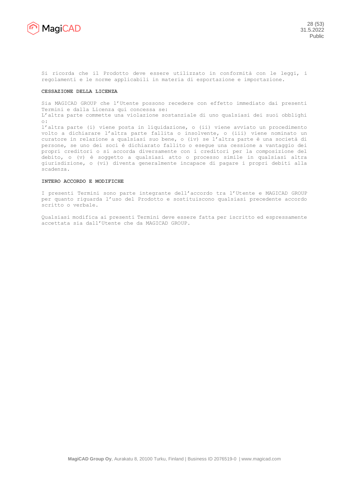

Si ricorda che il Prodotto deve essere utilizzato in conformità con le leggi, i regolamenti e le norme applicabili in materia di esportazione e importazione.

#### **CESSAZIONE DELLA LICENZA**

Sia MAGICAD GROUP che l'Utente possono recedere con effetto immediato dai presenti Termini e dalla Licenza qui concessa se:

L'altra parte commette una violazione sostanziale di uno qualsiasi dei suoi obblighi o:

l'altra parte (i) viene posta in liquidazione, o (ii) viene avviato un procedimento volto a dichiarare l'altra parte fallita o insolvente, o (iii) viene nominato un curatore in relazione a qualsiasi suo bene, o (iv) se l'altra parte è una società di persone, se uno dei soci è dichiarato fallito o esegue una cessione a vantaggio dei propri creditori o si accorda diversamente con i creditori per la composizione del debito, o (v) è soggetto a qualsiasi atto o processo simile in qualsiasi altra giurisdizione, o (vi) diventa generalmente incapace di pagare i propri debiti alla scadenza.

#### **INTERO ACCORDO E MODIFICHE**

I presenti Termini sono parte integrante dell'accordo tra l'Utente e MAGICAD GROUP per quanto riguarda l'uso del Prodotto e sostituiscono qualsiasi precedente accordo scritto o verbale.

Qualsiasi modifica ai presenti Termini deve essere fatta per iscritto ed espressamente accettata sia dall'Utente che da MAGICAD GROUP.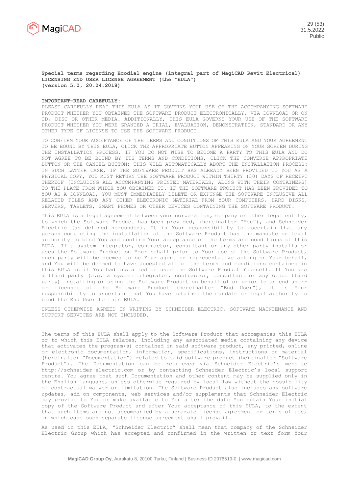

#### **Special terms regarding Ecodial engine (integral part of MagiCAD Revit Electrical) LICENSING END USER LICENSE AGREEMENT (the "EULA") (version 5.0, 20.04.2018)**

#### **IMPORTANT—READ CAREFULLY:**

PLEASE CAREFULLY READ THIS EULA AS IT GOVERNS YOUR USE OF THE ACCOMPANYING SOFTWARE PRODUCT WHETHER YOU OBTAINED THE SOFTWARE PRODUCT ELECTRONICALLY, VIA DOWNLOAD OR ON CD, DISC OR OTHER MEDIA. ADDITIONALLY, THIS EULA GOVERNS YOUR USE OF THE SOFTWARE PRODUCT WHETHER YOU WERE GRANTED A TRIAL, EVALUATION, DEMONSTRATION, STANDARD OR ANY OTHER TYPE OF LICENSE TO USE THE SOFTWARE PRODUCT.

TO CONFIRM YOUR ACCEPTANCE OF THE TERMS AND CONDITIONS OF THIS EULA AND YOUR AGREEMENT TO BE BOUND BY THIS EULA, CLICK THE APPROPRIATE BUTTON APPEARING ON YOUR SCREEN DURING THE INSTALLATION PROCESS. IF YOU DO NOT WISH TO BECOME A PARTY TO THIS EULA AND DO NOT AGREE TO BE BOUND BY ITS TERMS AND CONDITIONS, CLICK THE CONVERSE APPROPRIATE BUTTON OR THE CANCEL BUTTON: THIS WILL AUTOMATICALLY ABORT THE INSTALLATION PROCESS: IN SUCH LATTER CASE, IF THE SOFTWARE PRODUCT HAS ALREADY BEEN PROVIDED TO YOU AS A PHYSICAL COPY, YOU MUST RETURN THE SOFTWARE PRODUCT WITHIN THIRTY (30) DAYS OF RECEIPT THEREOF (INCLUDING ALL ACCOMPANYING PRINTED MATERIALS, ALONG WITH THEIR CONTAINERS) TO THE PLACE FROM WHICH YOU OBTAINED IT. IF THE SOFTWARE PRODUCT HAS BEEN PROVIDED TO YOU AS A DOWNLOAD, YOU MUST IMMEDIATELY DELETE OR EXPUNGE THE SOFTWARE INCLUSIVE ALL RELATED FILES AND ANY OTHER ELECTRONIC MATERIAL-FROM YOUR COMPUTERS, HARD DISKS, SERVERS, TABLETS, SMART PHONES OR OTHER DEVICES CONTAINING THE SOFTWARE PRODUCT.

This EULA is a legal agreement between your corporation, company or other legal entity, to which the Software Product has been provided, (hereinafter "You"), and Schneider Electric (as defined hereunder). It is Your responsibility to ascertain that any person completing the installation of the Software Product has the mandate or legal authority to bind You and confirm Your acceptance of the terms and conditions of this EULA. If a system integrator, contractor, consultant or any other party installs or uses the Software Product on Your behalf prior to Your use of the Software Product, such party will be deemed to be Your agent or representative acting on Your behalf, and You will be deemed to have accepted all of the terms and conditions contained in this EULA as if You had installed or used the Software Product Yourself. If You are a third party (e.g. a system integrator, contractor, consultant or any other third party) installing or using the Software Product on behalf of or prior to an end useror licensee of the Software Product (hereinafter "End User"), it is Your responsibility to ascertain that You have obtained the mandate or legal authority to bind the End User to this EULA.

UNLESS OTHERWISE AGREED IN WRITING BY SCHNEIDER ELECTRIC, SOFTWARE MAINTENANCE AND SUPPORT SERVICES ARE NOT INCLUDED.

The terms of this EULA shall apply to the Software Product that accompanies this EULA or to which this EULA relates, including any associated media containing any device that activates the program(s) contained in said software product, any printed, online or electronic documentation, information, specifications, instructions or material (hereinafter "Documentation") related to said software product (hereinafter "Software Product"). The Documentation can be retrieved via Schneider Electric's website [http://schneider-electric.com](http://schneider-electric.com/) or by contacting Schneider Electric's local support centre. You agree that such Documentation and other content may be supplied only in the English language, unless otherwise required by local law without the possibility of contractual waiver or limitation. The Software Product also includes any software updates, add-on components, web services and/or supplements that Schneider Electric may provide to You or make available to You after the date You obtain Your initial copy of the Software Product and after Your acceptance of this EULA, to the extent that such items are not accompanied by a separate license agreement or terms of use, in which case such separate license agreement shall prevail.

As used in this EULA, "Schneider Electric" shall mean that company of the Schneider Electric Group which has accepted and confirmed in the written or text form Your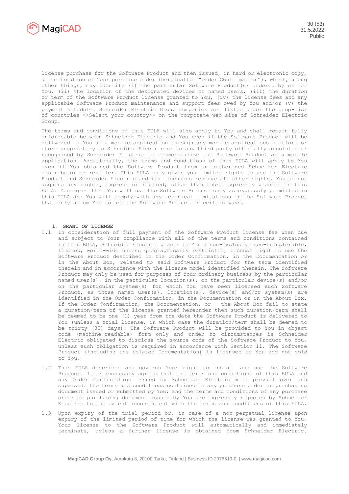

license purchase for the Software Product and then issued, in hard or electronic copy, a confirmation of Your purchase order (hereinafter "Order Confirmation"), which, among other things, may identify (i) the particular Software Product(s) ordered by or for You, (ii) the location of the designated devices or named users, (iii) the duration or term of the Software Product license granted to You, (iv) the license fees and any applicable Software Product maintenance and support fees owed by You and/or (v) the payment schedule. Schneider Electric Group companies are listed under the drop-list of countries <<Select your country>> on the corporate web site of Schneider Electric Group.

The terms and conditions of this EULA will also apply to You and shall remain fully enforceable between Schneider Electric and You even if the Software Product will be delivered to You as a mobile application through any mobile applications platform or store proprietary to Schneider Electric or to any third party officially appointed or recognised by Schneider Electric to commercialize the Software Product as a mobile application. Additionally, the terms and conditions of this EULA will apply to You even if You obtained the Software Product from an authorized Schneider Electric distributor or reseller. This EULA only gives you limited rights to use the Software Product and Schneider Electric and its licensors reserve all other rights. You do not acquire any rights, express or implied, other than those expressly granted in this EULA. You agree that You will use the Software Product only as expressly permitted in this EULA and You will comply with any technical limitations in the Software Product that only allow You to use the Software Product in certain ways.

# **1. GRANT OF LICENSE**

- 1.1 In consideration of full payment of the Software Product license fee when due and subject to Your compliance with all of the terms and conditions contained in this EULA, Schneider Electric grants to You a non-exclusive non-transferable, limited, world-wide unless geographically restricted, license right to use the Software Product described in the Order Confirmation, in the Documentation or in the About Box, related to said Software Product for the term identified therein and in accordance with the license model identified therein. The Software Product may only be used for purposes of Your ordinary business by the particular named user(s), in the particular location(s), on the particular device(s) and/or on the particular system(s) for which You have been licensed such Software Product, as those named user(s), location(s), device(s) and/or system(s) are identified in the Order Confirmation, in the Documentation or in the About Box. If the Order Confirmation, the Documentation, or - the About Box fail to state a duration/term of the license granted hereunder then such duration/term shall be deemed to be one (1) year from the date the Software Product is delivered to You (unless a trial license, in which case the duration/term shall be deemed to be thirty (30) days). The Software Product will be provided to You in object code (machine-readable) form only and under no circumstances is Schneider Electric obligated to disclose the source code of the Software Product to You, unless such obligation is required in accordance with Section 11. The Software Product (including the related Documentation) is licensed to You and not sold to You.
- 1.2 This EULA describes and governs Your right to install and use the Software Product. It is expressly agreed that the terms and conditions of this EULA and any Order Confirmation issued by Schneider Electric will prevail over and supersede the terms and conditions contained in any purchase order or purchasing document issued or submitted by You; and the terms and conditions of any purchase order or purchasing document issued by You are expressly rejected by Schneider Electric to the extent inconsistent with the terms and conditions of this EULA.
- 1.3 Upon expiry of the trial period or, in case of a non-perpetual license upon expiry of the limited period of time for which the license was granted to You, Your license to the Software Product will automatically and immediately terminate, unless a further license is obtained from Schneider Electric.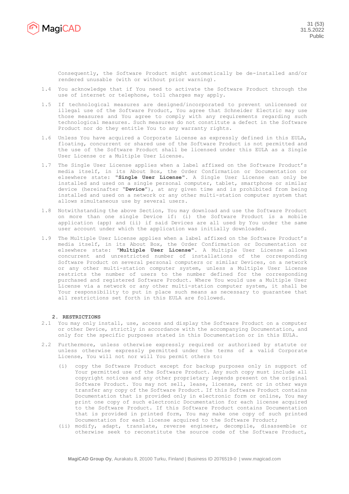

Consequently, the Software Product might automatically be de-installed and/or rendered unusable (with or without prior warning).

- 1.4 You acknowledge that if You need to activate the Software Product through the use of internet or telephone, toll charges may apply.
- 1.5 If technological measures are designed/incorporated to prevent unlicensed or illegal use of the Software Product, You agree that Schneider Electric may use those measures and You agree to comply with any requirements regarding such technological measures. Such measures do not constitute a defect in the Software Product nor do they entitle You to any warranty rights.
- 1.6 Unless You have acquired a Corporate License as expressly defined in this EULA, floating, concurrent or shared use of the Software Product is not permitted and the use of the Software Product shall be licensed under this EULA as a Single User License or a Multiple User License.
- 1.7 The Single User License applies when a label affixed on the Software Product's media itself, in its About Box, the Order Confirmation or Documentation or elsewhere state: "**Single User License**". A Single User License can only be installed and used on a single personal computer, tablet, smartphone or similar device (hereinafter "**Device**"), at any given time and is prohibited from being installed and used on a network or any other multi-station computer system that allows simultaneous use by several users.
- 1.8 Notwithstanding the above Section, You may download and use the Software Product on more than one single Device if: (i) the Software Product is a mobile application (app) and (ii) if said Devices are all used by You under the same user account under which the application was initially downloaded.
- 1.9 The Multiple User License applies when a label affixed on the Software Product's media itself, in its About Box, the Order Confirmation or Documentation or elsewhere state: "**Multiple User License**". A Multiple User License allows concurrent and unrestricted number of installations of the corresponding Software Product on several personal computers or similar Devices, on a network or any other multi-station computer system, unless a Multiple User License restricts the number of users to the number defined for the corresponding purchased and registered Software Product. Where You would use a Multiple User License via a network or any other multi-station computer system, it shall be Your responsibility to put in place such means as necessary to guarantee that all restrictions set forth in this EULA are followed.

# **2. RESTRICTIONS**

- 2.1 You may only install, use, access and display the Software Product on a computer or other Device, strictly in accordance with the accompanying Documentation, and only for the specific purposes stated in this Documentation or in this EULA.
- 2.2 Furthermore, unless otherwise expressly required or authorized by statute or unless otherwise expressly permitted under the terms of a valid Corporate License, You will not nor will You permit others to:
	- (i) copy the Software Product except for backup purposes only in support of Your permitted use of the Software Product. Any such copy must include all copyright notices and any other proprietary legends present on the original Software Product. You may not sell, lease, license, rent or in other ways transfer any copy of the Software Product. If this Software Product contains Documentation that is provided only in electronic form or online, You may print one copy of such electronic Documentation for each license acquired to the Software Product. If this Software Product contains Documentation that is provided in printed form, You may make one copy of such printed Documentation for each license acquired to the Software Product;
	- (ii) modify, adapt, translate, reverse engineer, decompile, disassemble or otherwise seek to reconstitute the source code of the Software Product,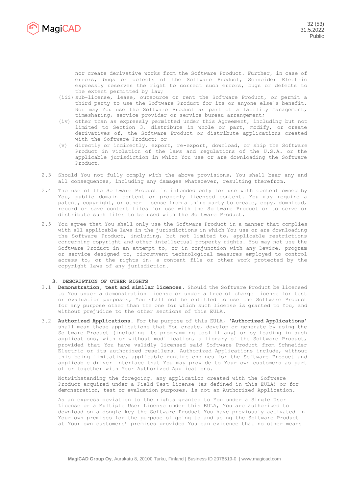

nor create derivative works from the Software Product. Further, in case of errors, bugs or defects of the Software Product, Schneider Electric expressly reserves the right to correct such errors, bugs or defects to the extent permitted by law;

- (iii) sub-license, lease, outsource or rent the Software Product, or permit a third party to use the Software Product for its or anyone else's benefit. Nor may You use the Software Product as part of a facility management, timesharing, service provider or service bureau arrangement;
- (iv) other than as expressly permitted under this Agreement, including but not limited to Section 3, distribute in whole or part, modify, or create derivatives of, the Software Product or distribute applications created with the Software Product; or
- (v) directly or indirectly, export, re-export, download, or ship the Software Product in violation of the laws and regulations of the U.S.A. or the applicable jurisdiction in which You use or are downloading the Software Product.
- 2.3 Should You not fully comply with the above provisions, You shall bear any and all consequences, including any damages whatsoever, resulting therefrom.
- 2.4 The use of the Software Product is intended only for use with content owned by You, public domain content or properly licensed content. You may require a patent, copyright, or other license from a third party to create, copy, download, record or save content files for use with the Software Product or to serve or distribute such files to be used with the Software Product.
- 2.5 You agree that You shall only use the Software Product in a manner that complies with all applicable laws in the jurisdictions in which You use or are downloading the Software Product, including, but not limited to, applicable restrictions concerning copyright and other intellectual property rights. You may not use the Software Product in an attempt to, or in conjunction with any Device, program or service designed to, circumvent technological measures employed to control access to, or the rights in, a content file or other work protected by the copyright laws of any jurisdiction.

## **3. DESCRIPTION OF OTHER RIGHTS**

- 3.1 **Demonstration, test and similar licences.** Should the Software Product be licensed to You under a demonstration license or under a free of charge license for test or evaluation purposes, You shall not be entitled to use the Software Product for any purpose other than the one for which such license is granted to You, and without prejudice to the other sections of this EULA.
- 3.2 **Authorized Applications.** For the purpose of this EULA, '**Authorized Applications**' shall mean those applications that You create, develop or generate by using the Software Product (including its programming tool if any) or by loading in such applications, with or without modification, a library of the Software Product, provided that You have validly licensed said Software Product from Schneider Electric or its authorized resellers. Authorized Applications include, without this being limitative, applicable runtime engines for the Software Product and applicable driver interface that You may provide to Your own customers as part of or together with Your Authorized Applications.

Notwithstanding the foregoing, any application created with the Software Product acquired under a Field-Test license (as defined in this EULA) or for demonstration, test or evaluation purposes, is not an Authorized Application.

As an express deviation to the rights granted to You under a Single User License or a Multiple User License under this EULA, You are authorized to download on a dongle key the Software Product You have previously activated in Your own premises for the purpose of going to and using the Software Product at Your own customers' premises provided You can evidence that no other means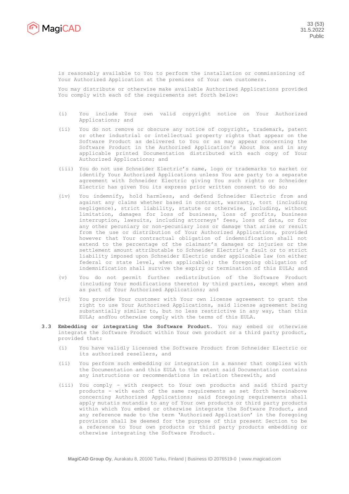

is reasonably available to You to perform the installation or commissioning of Your Authorized Application at the premises of Your own customers.

You may distribute or otherwise make available Authorized Applications provided You comply with each of the requirements set forth below:

- (i) You include Your own valid copyright notice on Your Authorized Applications; and
- (ii) You do not remove or obscure any notice of copyright, trademark, patent or other industrial or intellectual property rights that appear on the Software Product as delivered to You or as may appear concerning the Software Product in the Authorized Application's About Box and in any applicable printed Documentation distributed with each copy of Your Authorized Applications; and
- (iii) You do not use Schneider Electric's name, logo or trademarks to market or identify Your Authorized Applications unless You are party to a separate agreement with Schneider Electric giving You such rights or Schneider Electric has given You its express prior written consent to do so;
- (iv) You indemnify, hold harmless, and defend Schneider Electric from and against any claims whether based in contract, warranty, tort (including negligence), strict liability, statute or otherwise, including, without limitation, damages for loss of business, loss of profits, business interruption, lawsuits, including attorneys' fees, loss of data, or for any other pecuniary or non-pecuniary loss or damage that arise or result from the use or distribution of Your Authorized Applications, provided however that Your contractual obligation of indemnification shall not extend to the percentage of the claimant's damages or injuries or the settlement amount attributable to Schneider Electric's fault or to strict liability imposed upon Schneider Electric under applicable law (on either federal or state level, when applicable); the foregoing obligation of indemnification shall survive the expiry or termination of this EULA; and
- (v) You do not permit further redistribution of the Software Product (including Your modifications thereto) by third parties, except when and as part of Your Authorized Applications; and
- (vi) You provide Your customer with Your own license agreement to grant the right to use Your Authorised Applications, said license agreement being substantially similar to, but no less restrictive in any way, than this EULA; andYou otherwise comply with the terms of this EULA.
- **3.3 Embedding or integrating the Software Product.** You may embed or otherwise integrate the Software Product within Your own product or a third party product, provided that:
	- (i) You have validly licensed the Software Product from Schneider Electric or its authorized resellers, and
	- (ii) You perform such embedding or integration in a manner that complies with the Documentation and this EULA to the extent said Documentation contains any instructions or recommendations in relation therewith, and
	- (iii) You comply with respect to Your own products and said third party products - with each of the same requirements as set forth hereinabove concerning Authorized Applications; said foregoing requirements shall apply mutatis mutandis to any of Your own products or third party products within which You embed or otherwise integrate the Software Product, and any reference made to the term 'Authorized Application' in the foregoing provision shall be deemed for the purpose of this present Section to be a reference to Your own products or third party products embedding or otherwise integrating the Software Product.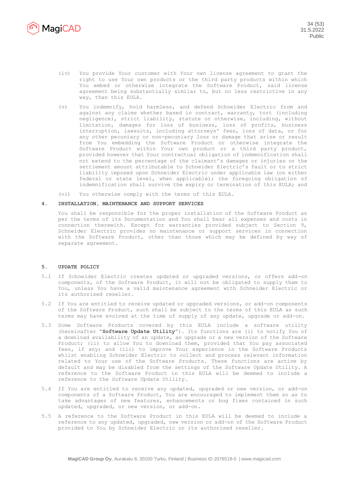

- (iv) You provide Your customer with Your own license agreement to grant the right to use Your own products or the third party products within which You embed or otherwise integrate the Software Product, said license agreement being substantially similar to, but no less restrictive in any way, than this EULA.
- (v) You indemnify, hold harmless, and defend Schneider Electric from and against any claims whether based in contract, warranty, tort (including negligence), strict liability, statute or otherwise, including, without limitation, damages for loss of business, loss of profits, business interruption, lawsuits, including attorneys' fees, loss of data, or for any other pecuniary or non-pecuniary loss or damage that arise or result from You embedding the Software Product or otherwise integrate the Software Product within Your own product or a third party product, provided however that Your contractual obligation of indemnification shall not extend to the percentage of the claimant's damages or injuries or the settlement amount attributable to Schneider Electric's fault or to strict liability imposed upon Schneider Electric under applicable law (on either federal or state level, when applicable); the foregoing obligation of indemnification shall survive the expiry or termination of this EULA; and
- (vi) You otherwise comply with the terms of this EULA.

## **4. INSTALLATION, MAINTENANCE AND SUPPORT SERVICES**

You shall be responsible for the proper installation of the Software Product as per the terms of its Documentation and You shall bear all expenses and costs in connection therewith. Except for warranties provided subject to Section 9, Schneider Electric provides no maintenance or support services in connection with the Software Product, other than those which may be defined by way of separate agreement.

## **5. UPDATE POLICY**

- 5.1 If Schneider Electric creates updated or upgraded versions, or offers add-on components, of the Software Product, it will not be obligated to supply them to You, unless You have a valid maintenance agreement with Schneider Electric or its authorised reseller.
- 5.2 If You are entitled to receive updated or upgraded versions, or add-on components of the Software Product, such shall be subject to the terms of this EULA as such terms may have evolved at the time of supply of any update, upgrade or add-on.
- 5.3 Some Software Products covered by this EULA include a software utility (hereinafter "**Software Update Utility**"). Its functions are (i) to notify You of a download availability of an update, an upgrade or a new version of the Software Product; (ii) to allow You to download them, provided that You pay associated fees, if any; and (iii) to improve Your experience in the Software Products whilst enabling Schneider Electric to collect and process relevant information related to Your use of the Software Products. These functions are active by default and may be disabled from the settings of the Software Update Utility. A reference to the Software Product in this EULA will be deemed to include a reference to the Software Update Utility.
- 5.4 If You are entitled to receive any updated, upgraded or new version, or add-on components of a Software Product, You are encouraged to implement them so as to take advantages of new features, enhancements or bug fixes contained in such updated, upgraded, or new version, or add-on.
- 5.5 A reference to the Software Product in this EULA will be deemed to include a reference to any updated, upgraded, new version or add-on of the Software Product provided to You by Schneider Electric or its authorised reseller.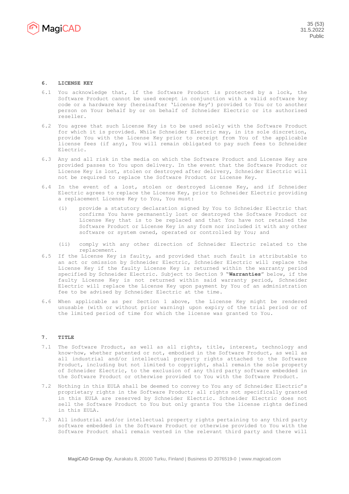

# **6. LICENSE KEY**

- 6.1 You acknowledge that, if the Software Product is protected by a lock, the Software Product cannot be used except in conjunction with a valid software key code or a hardware key (hereinafter 'License Key') provided to You or to another person on Your behalf by or on behalf of Schneider Electric or its authorised reseller.
- 6.2 You agree that such License Key is to be used solely with the Software Product for which it is provided. While Schneider Electric may, in its sole discretion, provide You with the License Key prior to receipt from You of the applicable license fees (if any), You will remain obligated to pay such fees to Schneider Electric.
- 6.3 Any and all risk in the media on which the Software Product and License Key are provided passes to You upon delivery. In the event that the Software Product or License Key is lost, stolen or destroyed after delivery, Schneider Electric will not be required to replace the Software Product or License Key.
- 6.4 In the event of a lost, stolen or destroyed License Key, and if Schneider Electric agrees to replace the License Key, prior to Schneider Electric providing a replacement License Key to You, You must:
	- (i) provide a statutory declaration signed by You to Schneider Electric that confirms You have permanently lost or destroyed the Software Product or License Key that is to be replaced and that You have not retained the Software Product or License Key in any form nor included it with any other software or system owned, operated or controlled by You; and
	- (ii) comply with any other direction of Schneider Electric related to the replacement.
- 6.5 If the License Key is faulty, and provided that such fault is attributable to an act or omission by Schneider Electric, Schneider Electric will replace the License Key if the faulty License Key is returned within the warranty period specified by Schneider Electric. Subject to Section 9 "**Warranties**" below, if the faulty License Key is not returned within said warranty period, Schneider Electric will replace the License Key upon payment by You of an administration fee to be advised by Schneider Electric at the time.
- 6.6 When applicable as per Section 1 above, the License Key might be rendered unusable (with or without prior warning) upon expiry of the trial period or of the limited period of time for which the license was granted to You.

# **7. TITLE**

- 7.1 The Software Product, as well as all rights, title, interest, technology and know-how, whether patented or not, embodied in the Software Product, as well as all industrial and/or intellectual property rights attached to the Software Product, including but not limited to copyright, shall remain the sole property of Schneider Electric, to the exclusion of any third party software embedded in the Software Product or otherwise provided to You with the Software Product.
- 7.2 Nothing in this EULA shall be deemed to convey to You any of Schneider Electric's proprietary rights in the Software Product; all rights not specifically granted in this EULA are reserved by Schneider Electric. Schneider Electric does not sell the Software Product to You but only grants You the license rights defined in this EULA.
- 7.3 All industrial and/or intellectual property rights pertaining to any third party software embedded in the Software Product or otherwise provided to You with the Software Product shall remain vested in the relevant third party and there will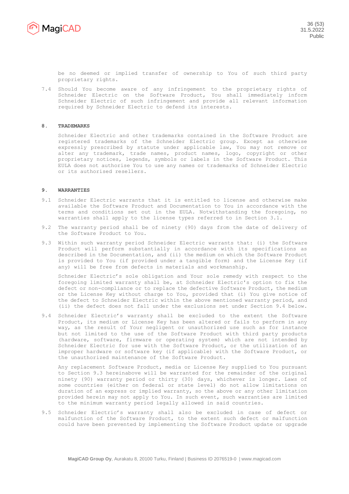

be no deemed or implied transfer of ownership to You of such third party proprietary rights.

7.4 Should You become aware of any infringement to the proprietary rights of Schneider Electric on the Software Product, You shall immediately inform Schneider Electric of such infringement and provide all relevant information required by Schneider Electric to defend its interests.

# **8. TRADEMARKS**

Schneider Electric and other trademarks contained in the Software Product are registered trademarks of the Schneider Electric group. Except as otherwise expressly prescribed by statute under applicable law, You may not remove or alter any trademark, trade names, product names, logo, copyright or other proprietary notices, legends, symbols or labels in the Software Product. This EULA does not authorise You to use any names or trademarks of Schneider Electric or its authorised resellers.

# **9. WARRANTIES**

- 9.1 Schneider Electric warrants that it is entitled to license and otherwise make available the Software Product and Documentation to You in accordance with the terms and conditions set out in the EULA. Notwithstanding the foregoing, no warranties shall apply to the license types referred to in Section 3.1.
- 9.2 The warranty period shall be of ninety (90) days from the date of delivery of the Software Product to You.
- 9.3 Within such warranty period Schneider Electric warrants that: (i) the Software Product will perform substantially in accordance with its specifications as described in the Documentation, and (ii) the medium on which the Software Product is provided to You (if provided under a tangible form) and the License Key (if any) will be free from defects in materials and workmanship.

Schneider Electric's sole obligation and Your sole remedy with respect to the foregoing limited warranty shall be, at Schneider Electric's option to fix the defect or non-compliance or to replace the defective Software Product, the medium or the License Key without charge to You, provided that (i) You give notice of the defect to Schneider Electric within the above mentioned warranty period, and (ii) the defect does not fall under the exclusions set under Section 9.4 below.

9.4 Schneider Electric's warranty shall be excluded to the extent the Software Product, its medium or License Key has been altered or fails to perform in any way, as the result of Your negligent or unauthorized use such as for instance but not limited to the use of the Software Product with third party products (hardware, software, firmware or operating system) which are not intended by Schneider Electric for use with the Software Product, or the utilization of an improper hardware or software key (if applicable) with the Software Product, or the unauthorized maintenance of the Software Product.

Any replacement Software Product, media or License Key supplied to You pursuant to Section 9.3 hereinabove will be warranted for the remainder of the original ninety (90) warranty period or thirty (30) days, whichever is longer. Laws of some countries (either on federal or state level) do not allow limitations on duration of an express or implied warranty, so the above or any other limitation provided herein may not apply to You. In such event, such warranties are limited to the minimum warranty period legally allowed in said countries.

9.5 Schneider Electric's warranty shall also be excluded in case of defect or malfunction of the Software Product, to the extent such defect or malfunction could have been prevented by implementing the Software Product update or upgrade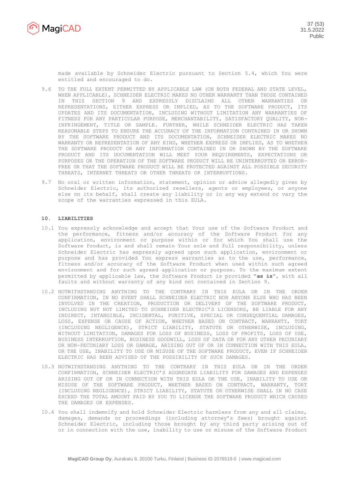

made available by Schneider Electric pursuant to Section 5.4, which You were entitled and encouraged to do.

- 9.6 TO THE FULL EXTENT PERMITTED BY APPLICABLE LAW (ON BOTH FEDERAL AND STATE LEVEL, WHEN APPLICABLE), SCHNEIDER ELECTRIC MAKES NO OTHER WARRANTY THAN THOSE CONTAINED IN THIS SECTION 9 AND EXPRESSLY DISCLAIMS ALL OTHER WARRANTIES OR REPRESENTATIONS, EITHER EXPRESS OR IMPLIED, AS TO THE SOFTWARE PRODUCT, ITS UPDATES AND ITS DOCUMENTATION, INCLUDING WITHOUT LIMITATION ANY WARRANTIES OF FITNESS FOR ANY PARTICULAR PURPOSE, MERCHANTABILITY, SATISFACTORY QUALITY, NON-INFRINGEMENT, TITLE OR SAMPLE. FURTHER, WHILE SCHNEIDER ELECTRIC HAS TAKEN REASONABLE STEPS TO ENSURE THE ACCURACY OF THE INFORMATION CONTAINED IN OR SHOWN BY THE SOFTWARE PRODUCT AND ITS DOCUMENTATION, SCHNEIDER ELECTRIC MAKES NO WARRANTY OR REPRESENTATION OF ANY KIND, WHETHER EXPRESS OR IMPLIED, AS TO WHETHER THE SOFTWARE PRODUCT OR ANY INFORMATION CONTAINED IN OR SHOWN BY THE SOFTWARE PRODUCT AND ITS DOCUMENTATION WILL MEET YOUR REQUIREMENTS, EXPECTATIONS OR PURPOSES OR THE OPERATION OF THE SOFTWARE PRODUCT WILL BE UNINTERRUPTED OR ERROR-FREE OR THAT THE SOFTWARE PRODUCT WILL BE PROTECTED AGAINST ALL POSSIBLE SECURITY THREATS, INTERNET THREATS OR OTHER THREATS OR INTERRUPTIONS.
- 9.7 No oral or written information, statement, opinion or advice allegedly given by Schneider Electric, its authorized resellers, agents or employees, or anyone else on its behalf, shall create any liability or in any way extend or vary the scope of the warranties expressed in this EULA.

# **10. LIABILITIES**

- 10.1 You expressly acknowledge and accept that Your use of the Software Product and the performance, fitness and/or accuracy of the Software Product for any application, environment or purpose within or for which You shall use the Software Product, is and shall remain Your sole and full responsibility, unless Schneider Electric has expressly agreed upon such application, environment or purpose and has provided You express warranties as to the use, performance, fitness and/or accuracy of the Software Product when used within such agreed environment and for such agreed application or purpose. To the maximum extent permitted by applicable law, the Software Product is provided "**as is**", with all faults and without warranty of any kind not contained in Section 9.
- 10.2 NOTWITHSTANDING ANYTHING TO THE CONTRARY IN THIS EULA OR IN THE ORDER CONFIRMATION, IN NO EVENT SHALL SCHNEIDER ELECTRIC NOR ANYONE ELSE WHO HAS BEEN INVOLVED IN THE CREATION, PRODUCTION OR DELIVERY OF THE SOFTWARE PRODUCT, INCLUDING BUT NOT LIMITED TO SCHNEIDER ELECTRIC'S LICENSORS, BE LIABLE FOR ANY INDIRECT, INTANGIBLE, INCIDENTAL, PUNITIVE, SPECIAL OR CONSEQUENTIAL DAMAGES, LOSS, EXPENSE OR CAUSE OF ACTION, WHETHER BASED ON CONTRACT, WARRANTY, TORT (INCLUDING NEGLIGENCE), STRICT LIABILITY, STATUTE OR OTHERWISE, INCLUDING, WITHOUT LIMITATION, DAMAGES FOR LOSS OF BUSINESS, LOSS OF PROFITS, LOSS OF USE, BUSINESS INTERRUPTION, BUSINESS GOODWILL, LOSS OF DATA OR FOR ANY OTHER PECUNIARY OR NON-PECUNIARY LOSS OR DAMAGE, ARISING OUT OF OR IN CONNECTION WITH THIS EULA, OR THE USE, INABILITY TO USE OR MISUSE OF THE SOFTWARE PRODUCT, EVEN IF SCHNEIDER ELECTRIC HAS BEEN ADVISED OF THE POSSIBILITY OF SUCH DAMAGES.
- 10.3 NOTWITHSTANDING ANYTHING TO THE CONTRARY IN THIS EULA OR IN THE ORDER CONFIRMATION, SCHNEIDER ELECTRIC'S AGGREGATE LIABILITY FOR DAMAGES AND EXPENSES ARISING OUT OF OR IN CONNECTION WITH THIS EULA OR THE USE, INABILITY TO USE OR MISUSE OF THE SOFTWARE PRODUCT, WHETHER BASED ON CONTRACT, WARRANTY, TORT (INCLUDING NEGLIGENCE), STRICT LIABILITY, STATUTE OR OTHERWISE SHALL IN NO CASE EXCEED THE TOTAL AMOUNT PAID BY YOU TO LICENSE THE SOFTWARE PRODUCT WHICH CAUSED THE DAMAGES OR EXPENSES.
- 10.4 You shall indemnify and hold Schneider Electric harmless from any and all claims, damages, demands or proceedings (including attorney's fees) brought against Schneider Electric, including those brought by any third party arising out of or in connection with the use, inability to use or misuse of the Software Product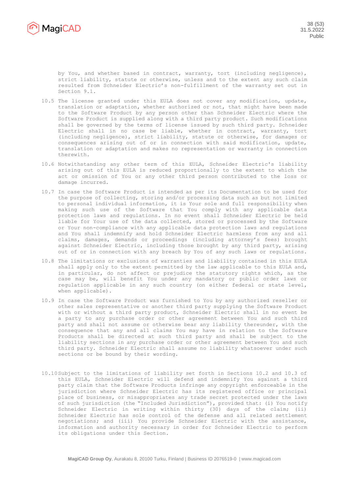

by You, and whether based in contract, warranty, tort (including negligence), strict liability, statute or otherwise, unless and to the extent any such claim resulted from Schneider Electric's non-fulfillment of the warranty set out in Section 9.1.

- 10.5 The license granted under this EULA does not cover any modification, update, translation or adaptation, whether authorized or not, that might have been made to the Software Product by any person other than Schneider Electric where the Software Product is supplied along with a third party product. Such modifications shall be governed by the terms of license issued by such third party. Schneider Electric shall in no case be liable, whether in contract, warranty, tort (including negligence), strict liability, statute or otherwise, for damages or consequences arising out of or in connection with said modification, update, translation or adaptation and makes no representation or warranty in connection therewith.
- 10.6 Notwithstanding any other term of this EULA, Schneider Electric's liability arising out of this EULA is reduced proportionally to the extent to which the act or omission of You or any other third person contributed to the loss or damage incurred.
- 10.7 In case the Software Product is intended as per its Documentation to be used for the purpose of collecting, storing and/or processing data such as but not limited to personal individual information, it is Your sole and full responsibility when making such use of the Software that You comply with any applicable data protection laws and regulations. In no event shall Schneider Electric be held liable for Your use of the data collected, stored or processed by the Software or Your non-compliance with any applicable data protection laws and regulations and You shall indemnify and hold Schneider Electric harmless from any and all claims, damages, demands or proceedings (including attorney's fees) brought against Schneider Electric, including those brought by any third party, arising out of or in connection with any breach by You of any such laws or regulations.
- 10.8 The limitations or exclusions of warranties and liability contained in this EULA shall apply only to the extent permitted by the law applicable to this EULA and, in particular, do not affect or prejudice the statutory rights which, as the case may be, will benefit You under any mandatory or public order laws or regulation applicable in any such country (on either federal or state level, when applicable).
- 10.9 In case the Software Product was furnished to You by any authorized reseller or other sales representative or another third party supplying the Software Product with or without a third party product, Schneider Electric shall in no event be a party to any purchase order or other agreement between You and such third party and shall not assume or otherwise bear any liability thereunder, with the consequence that any and all claims You may have in relation to the Software Products shall be directed at such third party and shall be subject to the liability sections in any purchase order or other agreement between You and such third party. Schneider Electric shall assume no liability whatsoever under such sections or be bound by their wording.
- 10.10Subject to the limitations of liability set forth in Sections 10.2 and 10.3 of this EULA, Schneider Electric will defend and indemnify You against a third party claim that the Software Products infringe any copyright enforceable in the jurisdiction where Schneider Electric has its registered office or principal place of business, or misappropriates any trade secret protected under the laws of such jurisdiction (the "Included Jurisdiction"), provided that: (i) You notify Schneider Electric in writing within thirty (30) days of the claim; (ii) Schneider Electric has sole control of the defense and all related settlement negotiations; and (iii) You provide Schneider Electric with the assistance, information and authority necessary in order for Schneider Electric to perform its obligations under this Section.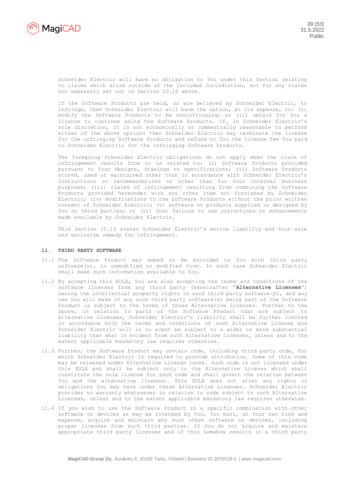

Schneider Electric will have no obligation to You under this Section relating to claims which arise outside of the Included Jurisdiction, nor for any claims not expressly set out in Section 10.10 above.

If the Software Products are held, or are believed by Schneider Electric, to infringe, then Schneider Electric will have the option, at its expense, to: (i) modify the Software Products to be noninfringing; or (ii) obtain for You a license to continue using the Software Products. If, in Schneider Electric's sole discretion, it is not economically or commercially reasonable to perform either of the above options then Schneider Electric may terminate the license for the infringing Software Products and refund to You the license fee You paid to Schneider Electric for the infringing Software Products.

The foregoing Schneider Electric obligations do not apply when the claim of infringement results from or is related to: (i) Software Products provided pursuant to Your designs, drawings or specifications; (ii) Software Products stored, used or maintained other than in accordance with Schneider Electric's instructions or recommendations or other than for Your internal business purposes; (iii) claims of infringement resulting from combining the Software Products provided hereunder with any other item not furnished by Schneider Electric; (iv) modifications to the Software Products without the prior written consent of Schneider Electric; (v) software or products supplied or designed by You or third parties; or (vi) Your failure to use corrections or enhancements made available by Schneider Electric.

This Section 10.10 states Schneider Electric's entire liability and Your sole and exclusive remedy for infringement.

## **11. THIRD PARTY SOFTWARE**

- 11.1 The Software Product may embed or be provided to You with third party software(s), in unmodified or modified form. In such case Schneider Electric shall make such information available to You.
- 11.2 By accepting this EULA, You are also accepting the terms and conditions of the software licenses from any third party (hereinafter "**Alternative Licenses**") owning the intellectual property rights in said third party software(s), and any use You will make of any such third party software(s) being part of the Software Product is subject to the terms of those Alternative Licenses. Further to the above, in relation to parts of the Software Product that are subject to Alternative Licenses, Schneider Electric's liability shall be further limited in accordance with the terms and conditions of such Alternative License and Schneider Electric will in no event be subject to a wider or more substantial liability than what is evident from such Alternative Licenses, unless and to the extent applicable mandatory law requires otherwise.
- 11.3 Further, the Software Product may contain code, including third party code, for which Schneider Electric is required to provide attribution. Some of this code may be released under Alternative License terms. Such code is not licensed under this EULA and shall be subject only to the Alternative License which shall constitute the sole license for such code and shall govern the relation between You and the alternative licensor. This EULA does not alter any rights or obligations You may have under these Alternative Licenses. Schneider Electric provides no warranty whatsoever in relation to code subject to such Alternative Licenses, unless and to the extent applicable mandatory law requires otherwise.
- 11.4 If you wish to use the Software Product in a specific combination with other software or devices as may be intended by You, You must, at Your own risk and expense, acquire and maintain any such other software or devices, including proper licenses from such third parties. If You do not acquire and maintain appropriate third party licenses and if this somehow results in a third party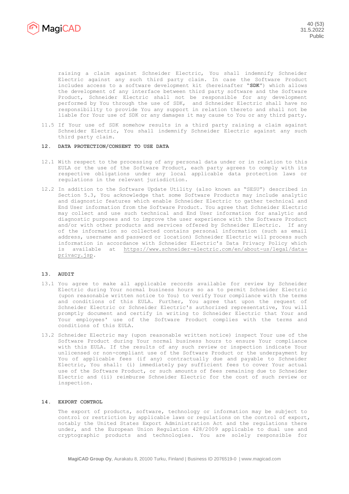

raising a claim against Schneider Electric, You shall indemnify Schneider Electric against any such third party claim. In case the Software Product includes access to a software development kit (hereinafter "**SDK**") which allows the development of any interface between third party software and the Software Product, Schneider Electric shall not be responsible for any development performed by You through the use of SDK, and Schneider Electric shall have no responsibility to provide You any support in relation thereto and shall not be liable for Your use of SDK or any damages it may cause to You or any third party.

11.5 If Your use of SDK somehow results in a third party raising a claim against Schneider Electric, You shall indemnify Schneider Electric against any such third party claim.

# **12. DATA PROTECTION/CONSENT TO USE DATA**

- 12.1 With respect to the processing of any personal data under or in relation to this EULA or the use of the Software Product, each party agrees to comply with its respective obligations under any local applicable data protection laws or regulations in the relevant jurisdiction.
- 12.2 In addition to the Software Update Utility (also known as "SESU") described in Section 5.3, You acknowledge that some Software Products may include analytic and diagnostic features which enable Schneider Electric to gather technical and End User information from the Software Product. You agree that Schneider Electric may collect and use such technical and End User information for analytic and diagnostic purposes and to improve the user experience with the Software Product and/or with other products and services offered by Schneider Electric. If any of the information so collected contains personal information (such as email address, username and password or location) Schneider Electric will process such information in accordance with Schneider Electric's Data Privacy Policy which is available at [https://www.schneider-electric.com/en/about-us/legal/data](https://www.schneider-electric.com/en/about-us/legal/data-privacy.jsp)[privacy.jsp.](https://www.schneider-electric.com/en/about-us/legal/data-privacy.jsp)

# **13. AUDIT**

- 13.1 You agree to make all applicable records available for review by Schneider Electric during Your normal business hours so as to permit Schneider Electric (upon reasonable written notice to You) to verify Your compliance with the terms and conditions of this EULA. Further, You agree that upon the request of Schneider Electric or Schneider Electric's authorized representative, You will promptly document and certify in writing to Schneider Electric that Your and Your employees' use of the Software Product complies with the terms and conditions of this EULA.
- 13.2 Schneider Electric may (upon reasonable written notice) inspect Your use of the Software Product during Your normal business hours to ensure Your compliance with this EULA. If the results of any such review or inspection indicate Your unlicensed or non-compliant use of the Software Product or the underpayment by You of applicable fees (if any) contractually due and payable to Schneider Electric, You shall: (i) immediately pay sufficient fees to cover Your actual use of the Software Product, or such amounts of fees remaining due to Schneider Electric and (ii) reimburse Schneider Electric for the cost of such review or inspection.

## **14. EXPORT CONTROL**

The export of products, software, technology or information may be subject to control or restriction by applicable laws or regulations on the control of export, notably the United States Export Administration Act and the regulations there under, and the European Union Regulation 428/2009 applicable to dual use and cryptographic products and technologies. You are solely responsible for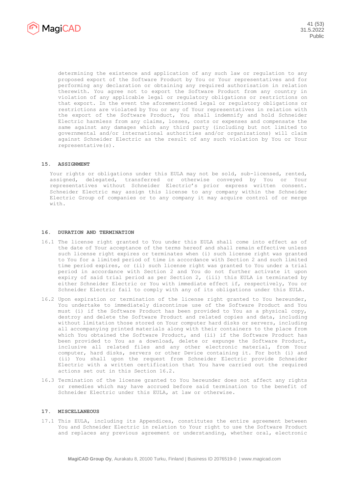

determining the existence and application of any such law or regulation to any proposed export of the Software Product by You or Your representatives and for performing any declaration or obtaining any required authorisation in relation therewith. You agree not to export the Software Product from any country in violation of any applicable legal or regulatory obligations or restrictions on that export. In the event the aforementioned legal or regulatory obligations or restrictions are violated by You or any of Your representatives in relation with the export of the Software Product, You shall indemnify and hold Schneider Electric harmless from any claims, losses, costs or expenses and compensate the same against any damages which any third party (including but not limited to governmental and/or international authorities and/or organizations) will claim against Schneider Electric as the result of any such violation by You or Your representative(s).

# **15. ASSIGNMENT**

Your rights or obligations under this EULA may not be sold, sub-licensed, rented, assigned, delegated, transferred or otherwise conveyed by You or Your representatives without Schneider Electric's prior express written consent. Schneider Electric may assign this license to any company within the Schneider Electric Group of companies or to any company it may acquire control of or merge with.

#### **16. DURATION AND TERMINATION**

- 16.1 The license right granted to You under this EULA shall come into effect as of the date of Your acceptance of the terms hereof and shall remain effective unless such license right expires or terminates when (i) such license right was granted to You for a limited period of time in accordance with Section 2 and such limited time period expires, or (ii) such license right was granted to You under a trial period in accordance with Section 2 and You do not further activate it upon expiry of said trial period as per Section 2, (iii) this EULA is terminated by either Schneider Electric or You with immediate effect if, respectively, You or Schneider Electric fail to comply with any of its obligations under this EULA.
- 16.2 Upon expiration or termination of the license right granted to You hereunder, You undertake to immediately discontinue use of the Software Product and You must (i) if the Software Product has been provided to You as a physical copy, destroy and delete the Software Product and related copies and data, including without limitation those stored on Your computer hard disks or servers, including all accompanying printed materials along with their containers to the place from which You obtained the Software Product, and (ii) if the Software Product has been provided to You as a download, delete or expunge the Software Product, inclusive all related files and any other electronic material, from Your computer, hard disks, servers or other Device containing it. For both (i) and (ii) You shall upon the request from Schneider Electric provide Schneider Electric with a written certification that You have carried out the required actions set out in this Section 16.2.
- 16.3 Termination of the license granted to You hereunder does not affect any rights or remedies which may have accrued before said termination to the benefit of Schneider Electric under this EULA, at law or otherwise.

## **17. MISCELLANEOUS**

17.1 This EULA, including its Appendices, constitutes the entire agreement between You and Schneider Electric in relation to Your right to use the Software Product and replaces any previous agreement or understanding, whether oral, electronic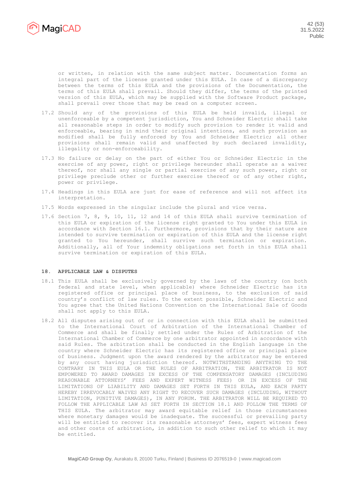

or written, in relation with the same subject matter. Documentation forms an integral part of the license granted under this EULA. In case of a discrepancy between the terms of this EULA and the provisions of the Documentation, the terms of this EULA shall prevail. Should they differ, the terms of the printed version of this EULA, which may be supplied with the Software Product package, shall prevail over those that may be read on a computer screen.

- 17.2 Should any of the provisions of this EULA be held invalid, illegal or unenforceable by a competent jurisdiction, You and Schneider Electric shall take all reasonable steps in order to modify such provision to render it valid and enforceable, bearing in mind their original intentions, and such provision as modified shall be fully enforced by You and Schneider Electric; all other provisions shall remain valid and unaffected by such declared invalidity, illegality or non-enforceability.
- 17.3 No failure or delay on the part of either You or Schneider Electric in the exercise of any power, right or privilege hereunder shall operate as a waiver thereof, nor shall any single or partial exercise of any such power, right or privilege preclude other or further exercise thereof or of any other right, power or privilege.
- 17.4 Headings in this EULA are just for ease of reference and will not affect its interpretation.
- 17.5 Words expressed in the singular include the plural and vice versa.
- 17.6 Section 7, 8, 9, 10, 11, 12 and 14 of this EULA shall survive termination of this EULA or expiration of the license right granted to You under this EULA in accordance with Section 16.1. Furthermore, provisions that by their nature are intended to survive termination or expiration of this EULA and the license right granted to You hereunder, shall survive such termination or expiration. Additionally, all of Your indemnity obligations set forth in this EULA shall survive termination or expiration of this EULA.

## **18. APPLICABLE LAW & DISPUTES**

- 18.1 This EULA shall be exclusively governed by the laws of the country (on both federal and state level, when applicable) where Schneider Electric has its registered office or principal place of business, to the exclusion of said country's conflict of law rules. To the extent possible, Schneider Electric and You agree that the United Nations Convention on the International Sale of Goods shall not apply to this EULA.
- 18.2 All disputes arising out of or in connection with this EULA shall be submitted to the International Court of Arbitration of the International Chamber of Commerce and shall be finally settled under the Rules of Arbitration of the International Chamber of Commerce by one arbitrator appointed in accordance with said Rules. The arbitration shall be conducted in the English language in the country where Schneider Electric has its registered office or principal place of business. Judgment upon the award rendered by the arbitrator may be entered by any court having jurisdiction thereof. NOTWITHSTANDING ANYTHING TO THE CONTRARY IN THIS EULA OR THE RULES OF ARBITRATION, THE ARBITRATOR IS NOT EMPOWERED TO AWARD DAMAGES IN EXCESS OF THE COMPENSATORY DAMAGES (INCLUDING REASONABLE ATTORNEYS' FEES AND EXPERT WITNESS FEES) OR IN EXCESS OF THE LIMITATIONS OF LIABILITY AND DAMAGES SET FORTH IN THIS EULA, AND EACH PARTY HEREBY IRREVOCABLY WAIVES ANY RIGHT TO RECOVER SUCH DAMAGES (INCLUDING, WITHOUT LIMITATION, PUNITIVE DAMAGES), IN ANY FORUM. THE ARBITRATOR WILL BE REQUIRED TO FOLLOW THE APPLICABLE LAW AS SET FORTH IN SECTION 18.1 AND FOLLOW THE TERMS OF THIS EULA. The arbitrator may award equitable relief in those circumstances where monetary damages would be inadequate. The successful or prevailing party will be entitled to recover its reasonable attorneys' fees, expert witness fees and other costs of arbitration, in addition to such other relief to which it may be entitled.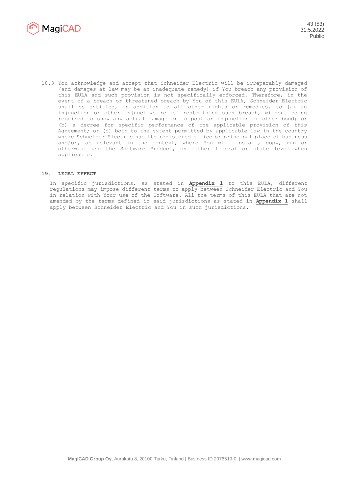

18.3 You acknowledge and accept that Schneider Electric will be irreparably damaged (and damages at law may be an inadequate remedy) if You breach any provision of this EULA and such provision is not specifically enforced. Therefore, in the event of a breach or threatened breach by You of this EULA, Schneider Electric shall be entitled, in addition to all other rights or remedies, to (a) an injunction or other injunctive relief restraining such breach, without being required to show any actual damage or to post an injunction or other bond; or (b) a decree for specific performance of the applicable provision of this Agreement; or (c) both to the extent permitted by applicable law in the country where Schneider Electric has its registered office or principal place of business and/or, as relevant in the context, where You will install, copy, run or otherwise use the Software Product, on either federal or state level when applicable.

## **19. LEGAL EFFECT**

In specific jurisdictions, as stated in **Appendix 1** to this EULA, different regulations may impose different terms to apply between Schneider Electric and You in relation with Your use of the Software. All the terms of this EULA that are not amended by the terms defined in said jurisdictions as stated in **Appendix 1** shall apply between Schneider Electric and You in such jurisdictions.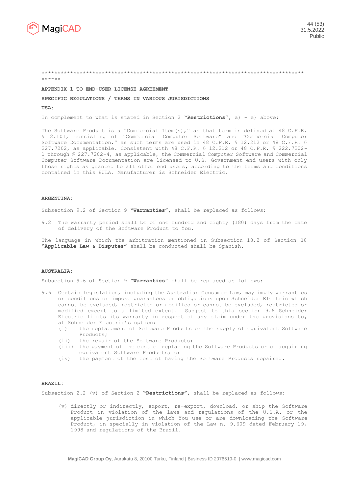

#### \*\*\*\*\*\*\*\*\*\*\*\*\*\*\*\*\*\*\*\*\*\*\*\*\*\*\*\*\*\*\*\*\*\*\*\*\*\*\*\*\*\*\*\*\*\*\*\*\*\*\*\*\*\*\*\*\*\*\*\*\*\*\*\*\*\*\*\*\*\*\*\*\*\*\*\*\*\*\*\*\*\*\* \*\*\*\*\*\*

#### **APPENDIX 1 TO END-USER LICENSE AGREEMENT**

## **SPECIFIC REGULATIONS / TERMS IN VARIOUS JURISDICTIONS**

**USA:**

In complement to what is stated in Section 2 **"Restrictions"**, a) – e) above:

The Software Product is a "Commercial Item(s)," as that term is defined at 48 C.F.R. § 2.101, consisting of "Commercial Computer Software" and "Commercial Computer Software Documentation," as such terms are used in 48 C.F.R. § 12.212 or 48 C.F.R. § 227.7202, as applicable. Consistent with 48 C.F.R. § 12.212 or 48 C.F.R. § 222.7202- 1 through § 227.7202-4, as applicable, the Commercial Computer Software and Commercial Computer Software Documentation are licensed to U.S. Government end users with only those rights as granted to all other end users, according to the terms and conditions contained in this EULA. Manufacturer is Schneider Electric.

#### **ARGENTINA:**

Subsection 9.2 of Section 9 **"Warranties"**, shall be replaced as follows:

9.2 The warranty period shall be of one hundred and eighty (180) days from the date of delivery of the Software Product to You.

The language in which the arbitration mentioned in Subsection 18.2 of Section 18 **"Applicable Law & Disputes"** shall be conducted shall be Spanish.

#### **AUSTRALIA:**

Subsection 9.6 of Section 9 **"Warranties"** shall be replaced as follows:

- 9.6 Certain legislation, including the Australian Consumer Law, may imply warranties or conditions or impose guarantees or obligations upon Schneider Electric which cannot be excluded, restricted or modified or cannot be excluded, restricted or modified except to a limited extent. Subject to this section 9.6 Schneider Electric limits its warranty in respect of any claim under the provisions to, at Schneider Electric's option:
	- (i) the replacement of Software Products or the supply of equivalent Software Products;
	- (ii) the repair of the Software Products;
	- (iii) the payment of the cost of replacing the Software Products or of acquiring equivalent Software Products; or
	- (iv) the payment of the cost of having the Software Products repaired.

#### **BRAZIL:**

Subsection 2.2 (v) of Section 2 **"Restrictions"**, shall be replaced as follows:

(v) directly or indirectly, export, re-export, download, or ship the Software Product in violation of the laws and regulations of the U.S.A. or the applicable jurisdiction in which You use or are downloading the Software Product, in specially in violation of the Law n. 9.609 dated February 19, 1998 and regulations of the Brazil.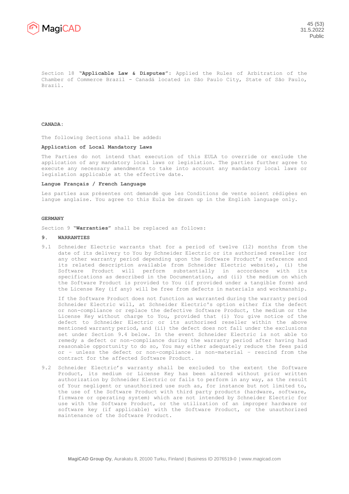

Section 18 **"Applicable Law & Disputes"**: Applied the Rules of Arbitration of the Chamber of Commerce Brazil - Canadá located in São Paulo City, State of São Paulo, Brazil.

**CANADA:** 

The following Sections shall be added:

#### **Application of Local Mandatory Laws**

The Parties do not intend that execution of this EULA to override or exclude the application of any mandatory local laws or legislation. The parties further agree to execute any necessary amendments to take into account any mandatory local laws or legislation applicable at the effective date.

#### **Langue Français / French Language**

Les parties aux présentes ont demandé que les Conditions de vente soient rédigées en langue anglaise. You agree to this Eula be drawn up in the English language only.

## **GERMANY**

Section 9 **"Warranties"** shall be replaced as follows:

#### **9. WARRANTIES**

9.1 Schneider Electric warrants that for a period of twelve (12) months from the date of its delivery to You by Schneider Electric or its authorised reseller (or any other warranty period depending upon the Software Product's reference and its related description available from Schneider Electric website), (i) the Software Product will perform substantially in accordance with its specifications as described in the Documentation, and (ii) the medium on which the Software Product is provided to You (if provided under a tangible form) and the License Key (if any) will be free from defects in materials and workmanship.

If the Software Product does not function as warranted during the warranty period Schneider Electric will, at Schneider Electric's option either fix the defect or non-compliance or replace the defective Software Product, the medium or the License Key without charge to You, provided that (i) You give notice of the defect to Schneider Electric or its authorised reseller within the above mentioned warranty period, and (ii) the defect does not fall under the exclusions set under Section 9.4 below. In the event Schneider Electric is not able to remedy a defect or non-compliance during the warranty period after having had reasonable opportunity to do so, You may either adequately reduce the fees paid or – unless the defect or non-compliance is non-material – rescind from the contract for the affected Software Product.

9.2 Schneider Electric's warranty shall be excluded to the extent the Software Product, its medium or License Key has been altered without prior written authorization by Schneider Electric or fails to perform in any way, as the result of Your negligent or unauthorized use such as, for instance but not limited to, the use of the Software Product with third party products (hardware, software, firmware or operating system) which are not intended by Schneider Electric for use with the Software Product, or the utilization of an improper hardware or software key (if applicable) with the Software Product, or the unauthorized maintenance of the Software Product.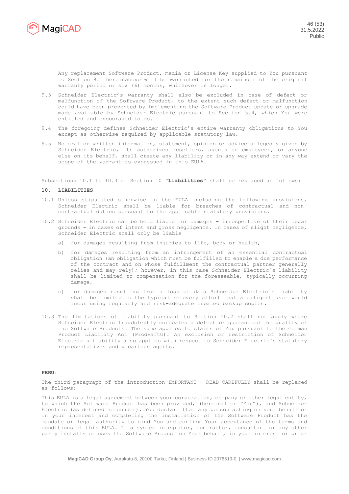

Any replacement Software Product, media or License Key supplied to You pursuant to Section 9.1 hereinabove will be warranted for the remainder of the original warranty period or six (6) months, whichever is longer.

- 9.3 Schneider Electric's warranty shall also be excluded in case of defect or malfunction of the Software Product, to the extent such defect or malfunction could have been prevented by implementing the Software Product update or upgrade made available by Schneider Electric pursuant to Section 5.4, which You were entitled and encouraged to do.
- 9.4 The foregoing defines Schneider Electric's entire warranty obligations to You except as otherwise required by applicable statutory law.
- 9.5 No oral or written information, statement, opinion or advice allegedly given by Schneider Electric, its authorized resellers, agents or employees, or anyone else on its behalf, shall create any liability or in any way extend or vary the scope of the warranties expressed in this EULA.

Subsections 10.1 to 10.3 of Section 10 **"Liabilities"** shall be replaced as follows:

## **10. LIABILITIES**

- 10.1 Unless stipulated otherwise in the EULA including the following provisions, Schneider Electric shall be liable for breaches of contractual and noncontractual duties pursuant to the applicable statutory provisions.
- 10.2 Schneider Electric can be held liable for damages irrespective of their legal grounds - in cases of intent and gross negligence. In cases of slight negligence, Schneider Electric shall only be liable
	- a) for damages resulting from injuries to life, body or health,
	- b) for damages resulting from an infringement of an essential contractual obligation (an obligation which must be fulfilled to enable a due performance of the contract and on whose fulfillment the contractual partner generally relies and may rely); however, in this case Schneider Electric`s liability shall be limited to compensation for the foreseeable, typically occurring damage,
	- c) for damages resulting from a loss of data Schneider Electric`s liability shall be limited to the typical recovery effort that a diligent user would incur using regularly and risk-adequate created backup copies.
- 10.3 The limitations of liability pursuant to Section 10.2 shall not apply where Schneider Electric fraudulently concealed a defect or guaranteed the quality of the Software Products. The same applies to claims of You pursuant to the German Product Liability Act (ProdHaftG). An exclusion or restriction of Schneider Electric s liability also applies with respect to Schneider Electric`s statutory representatives and vicarious agents.

## **PERU:**

The third paragraph of the introduction IMPORTANT – READ CAREFULLY shall be replaced as follows:

This EULA is a legal agreement between your corporation, company or other legal entity, to which the Software Product has been provided, (hereinafter "You"), and Schneider Electric (as defined hereunder). You declare that any person acting on your behalf or in your interest and completing the installation of the Software Product has the mandate or legal authority to bind You and confirm Your acceptance of the terms and conditions of this EULA. If a system integrator, contractor, consultant or any other party installs or uses the Software Product on Your behalf, in your interest or prior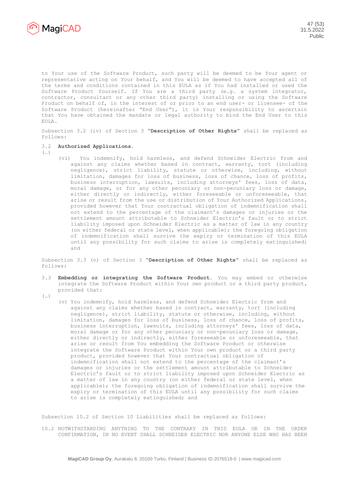

to Your use of the Software Product, such party will be deemed to be Your agent or representative acting on Your behalf, and You will be deemed to have accepted all of the terms and conditions contained in this EULA as if You had installed or used the Software Product Yourself. If You are a third party (e.g. a system integrator, contractor, consultant or any other third party) installing or using the Software Product on behalf of, in the interest of or prior to an end user- or licensee- of the Software Product (hereinafter "End User"), it is Your responsibility to ascertain that You have obtained the mandate or legal authority to bind the End User to this EULA.

Subsection 3.2 (iv) of Section 3 **"Description of Other Rights"** shall be replaced as follows:

### 3.2 **Authorized Applications.**

- (…)
- (vi) You indemnify, hold harmless, and defend Schneider Electric from and against any claims whether based in contract, warranty, tort (including negligence), strict liability, statute or otherwise, including, without limitation, damages for loss of business, loss of chance, loss of profits, business interruption, lawsuits, including attorneys' fees, loss of data, moral damage, or for any other pecuniary or non-pecuniary loss or damage, either directly or indirectly, either foreseeable or unforeseeable, that arise or result from the use or distribution of Your Authorized Applications, provided however that Your contractual obligation of indemnification shall not extend to the percentage of the claimant's damages or injuries or the settlement amount attributable to Schneider Electric's fault or to strict liability imposed upon Schneider Electric as a matter of law in any country (on either federal or state level, when applicable); the foregoing obligation of indemnification shall survive the expiry or termination of this EULA until any possibility for such claims to arise is completely extinguished; and

Subsection 3.3 (v) of Section 3 **"Description of Other Rights"** shall be replaced as follows:

- 3.3 **Embedding or integrating the Software Product.** You may embed or otherwise integrate the Software Product within Your own product or a third party product, provided that:
- (…)
- (v) You indemnify, hold harmless, and defend Schneider Electric from and against any claims whether based in contract, warranty, tort (including negligence), strict liability, statute or otherwise, including, without limitation, damages for loss of business, loss of chance, loss of profits, business interruption, lawsuits, including attorneys' fees, loss of data, moral damage or for any other pecuniary or non-pecuniary loss or damage, either directly or indirectly, either foreseeable or unforeseeable, that arise or result from You embedding the Software Product or otherwise integrate the Software Product within Your own product or a third party product, provided however that Your contractual obligation of indemnification shall not extend to the percentage of the claimant's damages or injuries or the settlement amount attributable to Schneider Electric's fault or to strict liability imposed upon Schneider Electric as a matter of law in any country (on either federal or state level, when applicable); the foregoing obligation of indemnification shall survive the expiry or termination of this EULA until any possibility for such claims to arise is completely extinguished; and

Subsection 10.2 of Section 10 Liabilities shall be replaced as follows:

10.2 NOTWITHSTANDING ANYTHING TO THE CONTRARY IN THIS EULA OR IN THE ORDER CONFIRMATION, IN NO EVENT SHALL SCHNEIDER ELECTRIC NOR ANYONE ELSE WHO HAS BEEN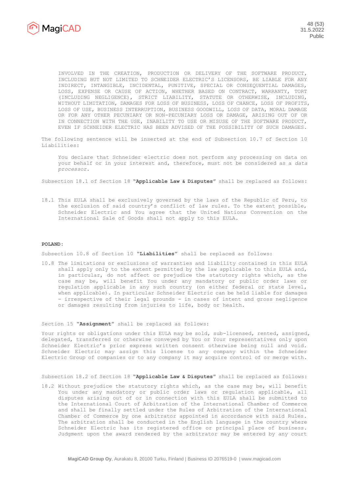

INVOLVED IN THE CREATION, PRODUCTION OR DELIVERY OF THE SOFTWARE PRODUCT, INCLUDING BUT NOT LIMITED TO SCHNEIDER ELECTRIC'S LICENSORS, BE LIABLE FOR ANY INDIRECT, INTANGIBLE, INCIDENTAL, PUNITIVE, SPECIAL OR CONSEQUENTIAL DAMAGES, LOSS, EXPENSE OR CAUSE OF ACTION, WHETHER BASED ON CONTRACT, WARRANTY, TORT (INCLUDING NEGLIGENCE), STRICT LIABILITY, STATUTE OR OTHERWISE, INCLUDING, WITHOUT LIMITATION, DAMAGES FOR LOSS OF BUSINESS, LOSS OF CHANCE, LOSS OF PROFITS, LOSS OF USE, BUSINESS INTERRUPTION, BUSINESS GOODWILL, LOSS OF DATA, MORAL DAMAGE OR FOR ANY OTHER PECUNIARY OR NON-PECUNIARY LOSS OR DAMAGE, ARISING OUT OF OR IN CONNECTION WITH THE USE, INABILITY TO USE OR MISUSE OF THE SOFTWARE PRODUCT, EVEN IF SCHNEIDER ELECTRIC HAS BEEN ADVISED OF THE POSSIBILITY OF SUCH DAMAGES.

The following sentence will be inserted at the end of Subsection 10.7 of Section 10 Liabilities:

You declare that Schneider electric does not perform any processing on data on your behalf or in your interest and, therefore, must not be considered as a *data processor*.

Subsection 18.1 of Section 18 **"Applicable Law & Disputes"** shall be replaced as follows:

18.1 This EULA shall be exclusively governed by the laws of the Republic of Peru, to the exclusion of said country's conflict of law rules. To the extent possible, Schneider Electric and You agree that the United Nations Convention on the International Sale of Goods shall not apply to this EULA.

#### **POLAND:**

Subsection 10.8 of Section 10 **"Liabilities"** shall be replaced as follows:

10.8 The limitations or exclusions of warranties and liability contained in this EULA shall apply only to the extent permitted by the law applicable to this EULA and, in particular, do not affect or prejudice the statutory rights which, as the case may be, will benefit You under any mandatory or public order laws or regulation applicable in any such country (on either federal or state level, when applicable). In particular Schneider Electric can be held liable for damages - irrespective of their legal grounds - in cases of intent and gross negligence or damages resulting from injuries to life, body or health.

Section 15 **"Assignment"** shall be replaced as follows:

Your rights or obligations under this EULA may be sold, sub-licensed, rented, assigned, delegated, transferred or otherwise conveyed by You or Your representatives only upon Schneider Electric's prior express written consent otherwise being null and void. Schneider Electric may assign this license to any company within the Schneider Electric Group of companies or to any company it may acquire control of or merge with.

Subsection 18.2 of Section 18 **"Applicable Law & Disputes"** shall be replaced as follows:

18.2 Without prejudice the statutory rights which, as the case may be, will benefit You under any mandatory or public order laws or regulation applicable, all disputes arising out of or in connection with this EULA shall be submitted to the International Court of Arbitration of the International Chamber of Commerce and shall be finally settled under the Rules of Arbitration of the International Chamber of Commerce by one arbitrator appointed in accordance with said Rules. The arbitration shall be conducted in the English language in the country where Schneider Electric has its registered office or principal place of business. Judgment upon the award rendered by the arbitrator may be entered by any court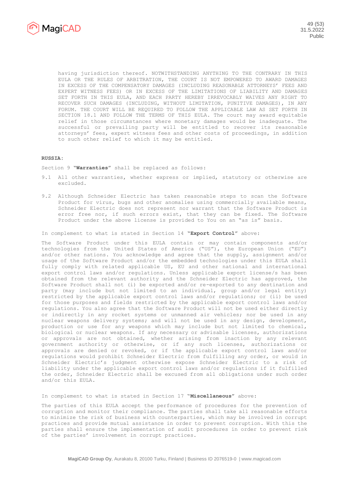

having jurisdiction thereof. NOTWITHSTANDING ANYTHING TO THE CONTRARY IN THIS EULA OR THE RULES OF ARBITRATION, THE COURT IS NOT EMPOWERED TO AWARD DAMAGES IN EXCESS OF THE COMPENSATORY DAMAGES (INCLUDING REASONABLE ATTORNEYS' FEES AND EXPERT WITNESS FEES) OR IN EXCESS OF THE LIMITATIONS OF LIABILITY AND DAMAGES SET FORTH IN THIS EULA, AND EACH PARTY HEREBY IRREVOCABLY WAIVES ANY RIGHT TO RECOVER SUCH DAMAGES (INCLUDING, WITHOUT LIMITATION, PUNITIVE DAMAGES), IN ANY FORUM. THE COURT WILL BE REQUIRED TO FOLLOW THE APPLICABLE LAW AS SET FORTH IN SECTION 18.1 AND FOLLOW THE TERMS OF THIS EULA. The court may award equitable relief in those circumstances where monetary damages would be inadequate. The successful or prevailing party will be entitled to recover its reasonable attorneys' fees, expert witness fees and other costs of proceedings, in addition to such other relief to which it may be entitled.

#### **RUSSIA:**

Section 9 **"Warranties"** shall be replaced as follows:

- 9.1 All other warranties, whether express or implied, statutory or otherwise are excluded.
- 9.2 Although Schneider Electric has taken reasonable steps to scan the Software Product for virus, bugs and other anomalies using commercially available means, Schneider Electric does not represent nor warrant that the Software Product is error free nor, if such errors exist, that they can be fixed. The Software Product under the above license is provided to You on an "as is" basis.

In complement to what is stated in Section 14 **"Export Control"** above:

The Software Product under this EULA contain or may contain components and/or technologies from the United States of America ("US"), the European Union ("EU") and/or other nations. You acknowledge and agree that the supply, assignment and/or usage of the Software Product and/or the embedded technologies under this EULA shall fully comply with related applicable US, EU and other national and international export control laws and/or regulations. Unless applicable export license/s has been obtained from the relevant authority and the Schneider Electric has approved, the Software Product shall not (i) be exported and/or re-exported to any destination and party (may include but not limited to an individual, group and/or legal entity) restricted by the applicable export control laws and/or regulations; or (ii) be used for those purposes and fields restricted by the applicable export control laws and/or regulations. You also agree that the Software Product will not be used either directly or indirectly in any rocket systems or unmanned air vehicles; nor be used in any nuclear weapons delivery systems; and will not be used in any design, development, production or use for any weapons which may include but not limited to chemical, biological or nuclear weapons. If any necessary or advisable licenses, authorizations or approvals are not obtained, whether arising from inaction by any relevant government authority or otherwise, or if any such licenses, authorizations or approvals are denied or revoked, or if the applicable export control laws and/or regulations would prohibit Schneider Electric from fulfilling any order, or would in Schneider Electric's judgment otherwise expose Schneider Electric to a risk of liability under the applicable export control laws and/or regulations if it fulfilled the order, Schneider Electric shall be excused from all obligations under such order and/or this EULA.

In complement to what is stated in Section 17 "**Miscellaneous"** above:

The parties of this EULA accept the performance of procedures for the prevention of corruption and monitor their compliance. The parties shall take all reasonable efforts to minimize the risk of business with counterparties, which may be involved in corrupt practices and provide mutual assistance in order to prevent corruption. With this the parties shall ensure the implementation of audit procedures in order to prevent risk of the parties' involvement in corrupt practices.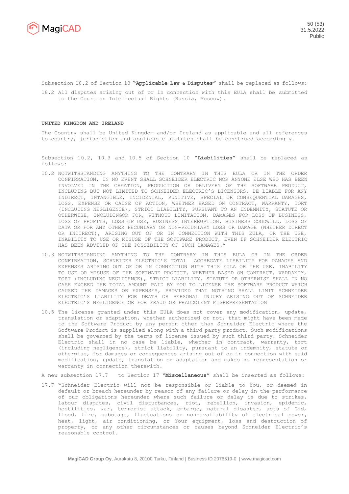

Subsection 18.2 of Section 18 **"Applicable Law & Disputes"** shall be replaced as follows:

18.2 All disputes arising out of or in connection with this EULA shall be submitted to the Court on Intellectual Rights (Russia, Moscow).

#### **UNITED KINGDOM AND IRELAND**

The Country shall be United Kingdom and/or Ireland as applicable and all references to country, jurisdiction and applicable statutes shall be construed accordingly.

Subsection 10.2, 10.3 and 10.5 of Section 10 **"Liabilities"** shall be replaced as follows:

- 10.2 NOTWITHSTANDING ANYTHING TO THE CONTRARY IN THIS EULA OR IN THE ORDER CONFIRMATION, IN NO EVENT SHALL SCHNEIDER ELECTRIC NOR ANYONE ELSE WHO HAS BEEN INVOLVED IN THE CREATION, PRODUCTION OR DELIVERY OF THE SOFTWARE PRODUCT, INCLUDING BUT NOT LIMITED TO SCHNEIDER ELECTRIC'S LICENSORS, BE LIABLE FOR ANY INDIRECT, INTANGIBLE, INCIDENTAL, PUNITIVE, SPECIAL OR CONSEQUENTIAL DAMAGES, LOSS, EXPENSE OR CAUSE OF ACTION, WHETHER BASED ON CONTRACT, WARRANTY, TORT (INCLUDING NEGLIGENCE), STRICT LIABILITY, PURSUANT TO AN INDEMNITY, STATUTE OR OTHERWISE, INCLUDINGOR FOR, WITHOUT LIMITATION, DAMAGES FOR LOSS OF BUSINESS, LOSS OF PROFITS, LOSS OF USE, BUSINESS INTERRUPTION, BUSINESS GOODWILL, LOSS OF DATA OR FOR ANY OTHER PECUNIARY OR NON-PECUNIARY LOSS OR DAMAGE (WHETHER DIRECT OR INDIRECT), ARISING OUT OF OR IN CONNECTION WITH THIS EULA, OR THE USE, INABILITY TO USE OR MISUSE OF THE SOFTWARE PRODUCT, EVEN IF SCHNEIDER ELECTRIC HAS BEEN ADVISED OF THE POSSIBILITY OF SUCH DAMAGES."
- 10.3 NOTWITHSTANDING ANYTHING TO THE CONTRARY IN THIS EULA OR IN THE ORDER CONFIRMATION, SCHNEIDER ELECTRIC'S TOTAL AGGREGATE LIABILITY FOR DAMAGES AND EXPENSES ARISING OUT OF OR IN CONNECTION WITH THIS EULA OR THE USE, INABILITY TO USE OR MISUSE OF THE SOFTWARE PRODUCT, WHETHER BASED ON CONTRACT, WARRANTY, TORT (INCLUDING NEGLIGENCE), STRICT LIABILITY, STATUTE OR OTHERWISE SHALL IN NO CASE EXCEED THE TOTAL AMOUNT PAID BY YOU TO LICENSE THE SOFTWARE PRODUCT WHICH CAUSED THE DAMAGES OR EXPENSES, PROVIDED THAT NOTHING SHALL LIMIT SCHNEIDER ELECTRIC'S LIABILITY FOR DEATH OR PERSONAL INJURY ARISING OUT OF SCHNEIDER ELECTRIC'S NEGLIGENCE OR FOR FRAUD OR FRAUDOLENT MISREPRESENTATION
- 10.5 The license granted under this EULA does not cover any modification, update, translation or adaptation, whether authorized or not, that might have been made to the Software Product by any person other than Schneider Electric where the Software Product is supplied along with a third party product. Such modifications shall be governed by the terms of license issued by such third party. Schneider Electric shall in no case be liable, whether in contract, warranty, tort (including negligence), strict liability, pursuant to an indemnity, statute or otherwise, for damages or consequences arising out of or in connection with said modification, update, translation or adaptation and makes no representation or warranty in connection therewith.

A new subsection 17.7 to Section 17 **"Miscellaneous"** shall be inserted as follows:

17.7 "Schneider Electric will not be responsible or liable to You, or deemed in default or breach hereunder by reason of any failure or delay in the performance of our obligations hereunder where such failure or delay is due to strikes, labour disputes, civil disturbances, riot, rebellion, invasion, epidemic, hostilities, war, terrorist attack, embargo, natural disaster, acts of God, flood, fire, sabotage, fluctuations or non-availability of electrical power, heat, light, air conditioning, or Your equipment, loss and destruction of property, or any other circumstances or causes beyond Schneider Electric's reasonable control.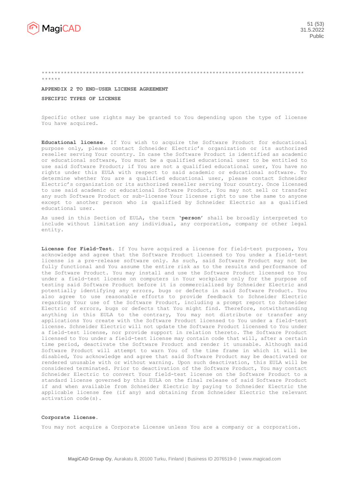

\*\*\*\*\*\*

## \*\*\*\*\*\*\*\*\*\*\*\*\*\*\*\*\*\*\*\*\*\*\*\*\*\*\*\*\*\*\*\*\*\*\*\*\*\*\*\*\*\*\*\*\*\*\*\*\*\*\*\*\*\*\*\*\*\*\*\*\*\*\*\*\*\*\*\*\*\*\*\*\*\*\*\*\*\*\*\*\*\*\*

#### **APPENDIX 2 TO END-USER LICENSE AGREEMENT**

**SPECIFIC TYPES OF LICENSE**

Specific other use rights may be granted to You depending upon the type of license You have acquired.

**Educational license.** If You wish to acquire the Software Product for educational purpose only, please contact Schneider Electric's organization or its authorized reseller serving Your country. In case the Software Product is identified as academic or educational software, You must be a qualified educational user to be entitled to use said Software Product; if You are not a qualified educational user, You have no rights under this EULA with respect to said academic or educational software. To determine whether You are a qualified educational user, please contact Schneider Electric's organization or its authorized reseller serving Your country. Once licensed to use said academic or educational Software Product, You may not sell or transfer any such Software Product or sub-license Your license right to use the same to anyone except to another person who is qualified by Schneider Electric as a qualified educational user.

As used in this Section of EULA, the term '**person**' shall be broadly interpreted to include without limitation any individual, any corporation, company or other legal entity.

**License for Field-Test.** If You have acquired a license for field-test purposes, You acknowledge and agree that the Software Product licensed to You under a field-test license is a pre-release software only. As such, said Software Product may not be fully functional and You assume the entire risk as to the results and performance of the Software Product. You may install and use the Software Product licensed to You under a field-test license on computers in Your workplace only for the purpose of testing said Software Product before it is commercialized by Schneider Electric and potentially identifying any errors, bugs or defects in said Software Product. You also agree to use reasonable efforts to provide feedback to Schneider Electric regarding Your use of the Software Product, including a prompt report to Schneider Electric of errors, bugs or defects that You might find. Therefore, notwithstanding anything in this EULA to the contrary, You may not distribute or transfer any applications You create with the Software Product licensed to You under a field-test license. Schneider Electric will not update the Software Product licensed to You under a field-test license, nor provide support in relation thereto. The Software Product licensed to You under a field-test license may contain code that will, after a certain time period, deactivate the Software Product and render it unusable. Although said Software Product will attempt to warn You of the time frame in which it will be disabled, You acknowledge and agree that said Software Product may be deactivated or rendered unusable with or without warning. Upon such deactivation, this EULA will be considered terminated. Prior to deactivation of the Software Product, You may contact Schneider Electric to convert Your field-test license on the Software Product to a standard license governed by this EULA on the final release of said Software Product if and when available from Schneider Electric by paying to Schneider Electric the applicable license fee (if any) and obtaining from Schneider Electric the relevant activation code(s).

#### **Corporate license.**

You may not acquire a Corporate License unless You are a company or a corporation.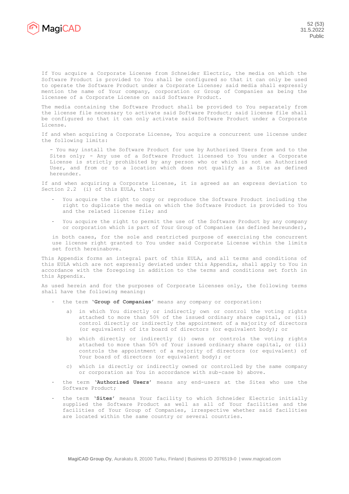

If You acquire a Corporate License from Schneider Electric, the media on which the Software Product is provided to You shall be configured so that it can only be used to operate the Software Product under a Corporate License; said media shall expressly mention the name of Your company, corporation or Group of Companies as being the licensee of a Corporate License on said Software Product.

The media containing the Software Product shall be provided to You separately from the license file necessary to activate said Software Product; said license file shall be configured so that it can only activate said Software Product under a Corporate License.

If and when acquiring a Corporate License, You acquire a concurrent use license under the following limits:

- You may install the Software Product for use by Authorized Users from and to the Sites only; - Any use of a Software Product licensed to You under a Corporate License is strictly prohibited by any person who or which is not an Authorized User, and from or to a location which does not qualify as a Site as defined hereunder.

If and when acquiring a Corporate License, it is agreed as an express deviation to Section 2.2 (i) of this EULA, that:

- You acquire the right to copy or reproduce the Software Product including the right to duplicate the media on which the Software Product is provided to You and the related license file; and
- You acquire the right to permit the use of the Software Product by any company or corporation which is part of Your Group of Companies (as defined hereunder),

in both cases, for the sole and restricted purpose of exercising the concurrent use license right granted to You under said Corporate License within the limits set forth hereinabove.

This Appendix forms an integral part of this EULA, and all terms and conditions of this EULA which are not expressly deviated under this Appendix, shall apply to You in accordance with the foregoing in addition to the terms and conditions set forth in this Appendix.

As used herein and for the purposes of Corporate Licenses only, the following terms shall have the following meaning:

- the term '**Group of Companies**' means any company or corporation:
	- a) in which You directly or indirectly own or control the voting rights attached to more than 50% of the issued ordinary share capital, or (ii) control directly or indirectly the appointment of a majority of directors (or equivalent) of its board of directors (or equivalent body); or
	- b) which directly or indirectly (i) owns or controls the voting rights attached to more than 50% of Your issued ordinary share capital, or (ii) controls the appointment of a majority of directors (or equivalent) of Your board of directors (or equivalent body); or
	- c) which is directly or indirectly owned or controlled by the same company or corporation as You in accordance with sub-case b) above.
- the term '**Authorized Users**' means any end-users at the Sites who use the Software Product;
- the term '**Sites**' means Your facility to which Schneider Electric initially supplied the Software Product as well as all of Your facilities and the facilities of Your Group of Companies, irrespective whether said facilities are located within the same country or several countries.